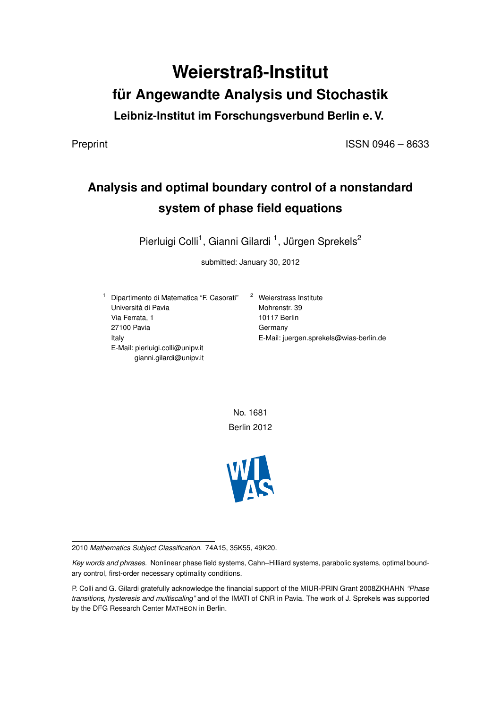# **Weierstraß-Institut für Angewandte Analysis und Stochastik**

**Leibniz-Institut im Forschungsverbund Berlin e. V.**

Preprint ISSN 0946 – 8633

## **Analysis and optimal boundary control of a nonstandard system of phase field equations**

Pierluigi Colli<sup>1</sup>, Gianni Gilardi<sup>1</sup>, Jürgen Sprekels<sup>2</sup>

submitted: January 30, 2012

<sup>1</sup> Dipartimento di Matematica "F. Casorati" <sup>2</sup> Weierstrass Institute Università di Pavia Via Ferrata, 1 27100 Pavia Italy E-Mail: pierluigi.colli@unipv.it gianni.gilardi@unipv.it

Mohrenstr. 39 10117 Berlin Germany E-Mail: juergen.sprekels@wias-berlin.de

No. 1681 Berlin 2012



<sup>2010</sup> *Mathematics Subject Classification.* 74A15, 35K55, 49K20.

*Key words and phrases.* Nonlinear phase field systems, Cahn–Hilliard systems, parabolic systems, optimal boundary control, first-order necessary optimality conditions.

P. Colli and G. Gilardi gratefully acknowledge the financial support of the MIUR-PRIN Grant 2008ZKHAHN *"Phase transitions, hysteresis and multiscaling"* and of the IMATI of CNR in Pavia. The work of J. Sprekels was supported by the DFG Research Center MATHEON in Berlin.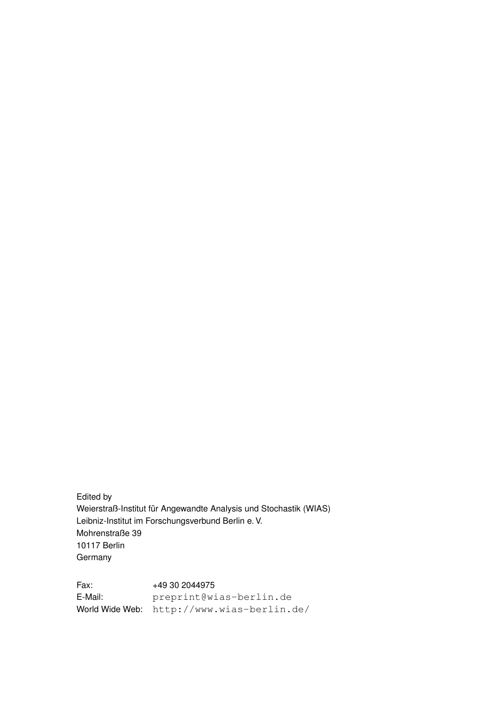Edited by Weierstraß-Institut für Angewandte Analysis und Stochastik (WIAS) Leibniz-Institut im Forschungsverbund Berlin e. V. Mohrenstraße 39 10117 Berlin Germany

Fax: +49 30 2044975 E-Mail: preprint@wias-berlin.de World Wide Web: http://www.wias-berlin.de/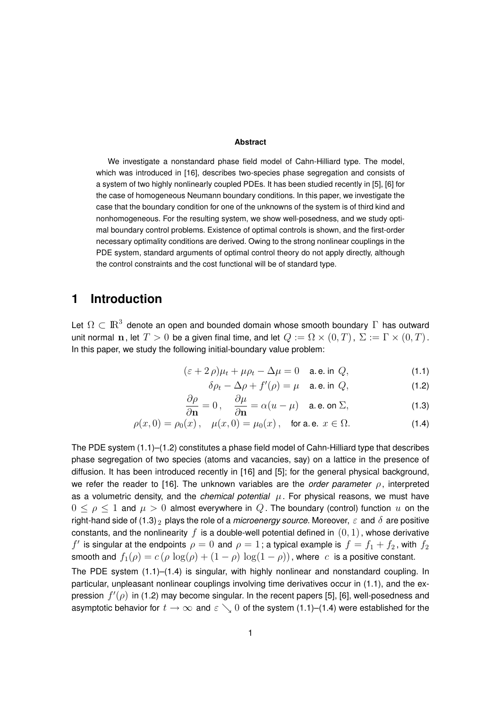### **Abstract**

We investigate a nonstandard phase field model of Cahn-Hilliard type. The model, which was introduced in [16], describes two-species phase segregation and consists of a system of two highly nonlinearly coupled PDEs. It has been studied recently in [5], [6] for the case of homogeneous Neumann boundary conditions. In this paper, we investigate the case that the boundary condition for one of the unknowns of the system is of third kind and nonhomogeneous. For the resulting system, we show well-posedness, and we study optimal boundary control problems. Existence of optimal controls is shown, and the first-order necessary optimality conditions are derived. Owing to the strong nonlinear couplings in the PDE system, standard arguments of optimal control theory do not apply directly, although the control constraints and the cost functional will be of standard type.

### **1 Introduction**

Let  $\Omega\subset{\rm I\!R}^3$  denote an open and bounded domain whose smooth boundary  $\Gamma$  has outward unit normal n, let  $T > 0$  be a given final time, and let  $Q := \Omega \times (0, T)$ ,  $\Sigma := \Gamma \times (0, T)$ . In this paper, we study the following initial-boundary value problem:

$$
(\varepsilon + 2\rho)\mu_t + \mu\rho_t - \Delta\mu = 0 \quad \text{a.e. in } Q,
$$
\n(1.1)

$$
\delta \rho_t - \Delta \rho + f'(\rho) = \mu \quad \text{a.e. in } Q,\tag{1.2}
$$

$$
\frac{\partial \rho}{\partial \mathbf{n}} = 0, \quad \frac{\partial \mu}{\partial \mathbf{n}} = \alpha (u - \mu) \quad \text{a.e. on } \Sigma,
$$
 (1.3)

$$
\rho(x,0) = \rho_0(x), \quad \mu(x,0) = \mu_0(x), \quad \text{for a.e. } x \in \Omega.
$$
 (1.4)

The PDE system (1.1)–(1.2) constitutes a phase field model of Cahn-Hilliard type that describes phase segregation of two species (atoms and vacancies, say) on a lattice in the presence of diffusion. It has been introduced recently in [16] and [5]; for the general physical background, we refer the reader to [16]. The unknown variables are the *order parameter* ρ, interpreted as a volumetric density, and the *chemical potential*  $\mu$ . For physical reasons, we must have  $0 \leq \rho \leq 1$  and  $\mu > 0$  almost everywhere in  $Q$ . The boundary (control) function  $u$  on the right-hand side of (1.3) <sub>2</sub> plays the role of a *microenergy source*. Moreover,  $\varepsilon$  and  $\delta$  are positive constants, and the nonlinearity f is a double-well potential defined in  $(0, 1)$ , whose derivative  $f^\prime$  is singular at the endpoints  $\rho=0$  and  $\rho=1$  ; a typical example is  $\,f=f_1+f_2$  , with  $\,f_2$ smooth and  $f_1(\rho) = c(\rho \log(\rho) + (1 - \rho) \log(1 - \rho))$ , where c is a positive constant. The PDE system (1.1)–(1.4) is singular, with highly nonlinear and nonstandard coupling. In particular, unpleasant nonlinear couplings involving time derivatives occur in (1.1), and the expression  $f'(\rho)$  in (1.2) may become singular. In the recent papers [5], [6], well-posedness and asymptotic behavior for  $t \to \infty$  and  $\varepsilon \searrow 0$  of the system (1.1)–(1.4) were established for the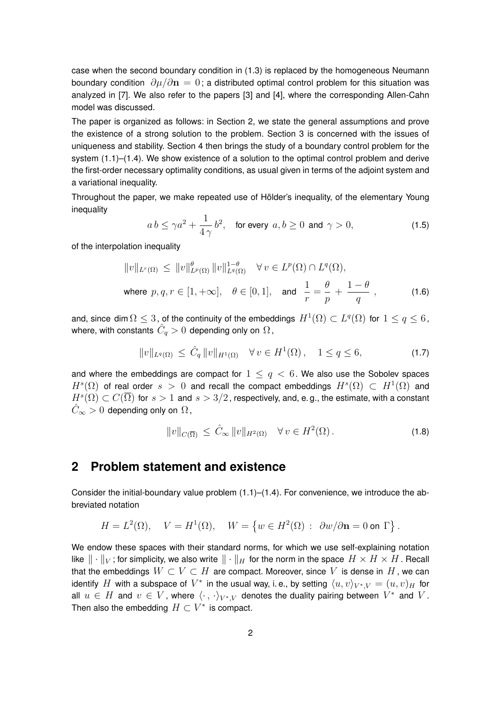case when the second boundary condition in (1.3) is replaced by the homogeneous Neumann boundary condition  $\partial \mu / \partial \mathbf{n} = 0$ ; a distributed optimal control problem for this situation was analyzed in [7]. We also refer to the papers [3] and [4], where the corresponding Allen-Cahn model was discussed.

The paper is organized as follows: in Section 2, we state the general assumptions and prove the existence of a strong solution to the problem. Section 3 is concerned with the issues of uniqueness and stability. Section 4 then brings the study of a boundary control problem for the system (1.1)–(1.4). We show existence of a solution to the optimal control problem and derive the first-order necessary optimality conditions, as usual given in terms of the adjoint system and a variational inequality.

Throughout the paper, we make repeated use of Hölder's inequality, of the elementary Young inequality

$$
a b \le \gamma a^2 + \frac{1}{4\gamma} b^2, \quad \text{for every } a, b \ge 0 \text{ and } \gamma > 0,
$$
 (1.5)

of the interpolation inequality

$$
||v||_{L^{r}(\Omega)} \leq ||v||_{L^{p}(\Omega)}^{\theta} ||v||_{L^{q}(\Omega)}^{1-\theta} \quad \forall v \in L^{p}(\Omega) \cap L^{q}(\Omega),
$$
  
where  $p, q, r \in [1, +\infty]$ ,  $\theta \in [0, 1]$ , and  $\frac{1}{r} = \frac{\theta}{p} + \frac{1-\theta}{q}$ , (1.6)

and, since dim  $\Omega\leq 3$  , of the continuity of the embeddings  $H^1(\Omega)\subset L^q(\Omega)$  for  $1\leq q\leq 6$  , where, with constants  $\hat{C}_q>0$  depending only on  $\Omega$  ,

$$
||v||_{L^{q}(\Omega)} \leq \hat{C}_{q} ||v||_{H^{1}(\Omega)} \quad \forall v \in H^{1}(\Omega), \quad 1 \leq q \leq 6,
$$
 (1.7)

and where the embeddings are compact for  $1 \leq q < 6$ . We also use the Sobolev spaces  $H^s(\Omega)$  of real order  $s > 0$  and recall the compact embeddings  $H^s(\Omega) \subset H^1(\Omega)$  and  $H^s(\Omega)\subset C(\overline{\Omega})$  for  $s>1$  and  $s>3/2$ , respectively, and, e.g., the estimate, with a constant  $C_{\infty} > 0$  depending only on  $\Omega$ ,

$$
||v||_{C(\overline{\Omega})} \leq \hat{C}_{\infty} ||v||_{H^2(\Omega)} \quad \forall v \in H^2(\Omega). \tag{1.8}
$$

### **2 Problem statement and existence**

Consider the initial-boundary value problem (1.1)–(1.4). For convenience, we introduce the abbreviated notation

$$
H = L^{2}(\Omega), \quad V = H^{1}(\Omega), \quad W = \{ w \in H^{2}(\Omega) : \partial w / \partial \mathbf{n} = 0 \text{ on } \Gamma \}.
$$

We endow these spaces with their standard norms, for which we use self-explaining notation like  $\|\cdot\|_V$ ; for simplicity, we also write  $\|\cdot\|_H$  for the norm in the space  $H \times H \times H$ . Recall that the embeddings  $W \subset V \subset H$  are compact. Moreover, since V is dense in H, we can identify  $H$  with a subspace of  $V^*$  in the usual way, i. e., by setting  $\langle u, v\rangle_{V^*,V}=(u,v)_H$  for all  $u \in H$  and  $v \in V$ , where  $\langle \cdot\, , \, \cdot \rangle_{V^*,V}$  denotes the duality pairing between  $V^*$  and  $V$ . Then also the embedding  $H \subset V^*$  is compact.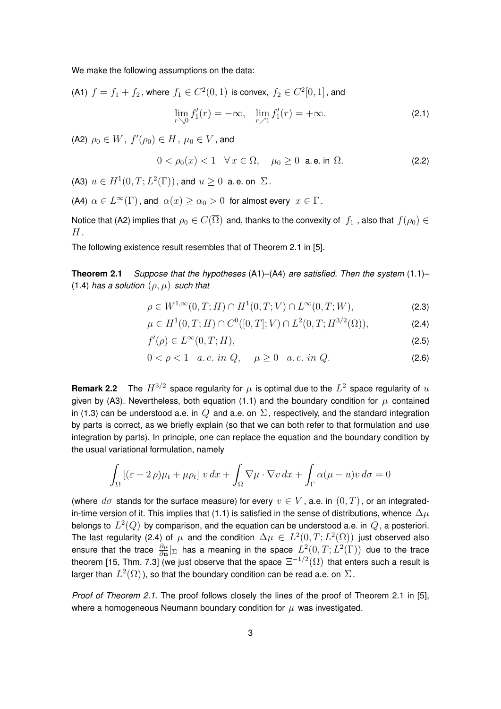We make the following assumptions on the data:

(A1)  $f=f_1+f_2$ , where  $f_1\in C^2(0,1)$  is convex,  $f_2\in C^2[0,1]$ , and

$$
\lim_{r \searrow 0} f_1'(r) = -\infty, \quad \lim_{r \nearrow 1} f_1'(r) = +\infty.
$$
 (2.1)

(A2)  $\rho_0 \in W$  ,  $f'(\rho_0) \in H$  ,  $\mu_0 \in V$  , and

j

$$
0 < \rho_0(x) < 1 \quad \forall \, x \in \Omega, \quad \mu_0 \ge 0 \quad \text{a.e. in } \Omega. \tag{2.2}
$$

(A3)  $u \in H^1(0,T; L^2(\Gamma))$ , and  $u \geq 0$  a.e. on  $\Sigma$ .

(A4)  $\alpha \in L^{\infty}(\Gamma)$ , and  $\alpha(x) \ge \alpha_0 > 0$  for almost every  $x \in \Gamma$ .

Notice that (A2) implies that  $\rho_0 \in C(\overline{\Omega})$  and, thanks to the convexity of  $f_1$ , also that  $f(\rho_0) \in$  $H$  .

The following existence result resembles that of Theorem 2.1 in [5].

**Theorem 2.1** *Suppose that the hypotheses* (A1)–(A4) *are satisfied. Then the system* (1.1)– (1.4) *has a solution* (ρ, µ) *such that*

$$
\rho \in W^{1,\infty}(0,T;H) \cap H^1(0,T;V) \cap L^{\infty}(0,T;W),
$$
\n(2.3)

$$
\mu \in H^1(0, T; H) \cap C^0([0, T]; V) \cap L^2(0, T; H^{3/2}(\Omega)), \tag{2.4}
$$

$$
f'(\rho) \in L^{\infty}(0, T; H), \tag{2.5}
$$

$$
0 < \rho < 1 \quad a.e. \text{ in } Q, \quad \mu \ge 0 \quad a.e. \text{ in } Q. \tag{2.6}
$$

**Remark 2.2** The  $H^{3/2}$  space regularity for  $\mu$  is optimal due to the  $L^2$  space regularity of  $u$ given by (A3). Nevertheless, both equation (1.1) and the boundary condition for  $\mu$  contained in (1.3) can be understood a.e. in Q and a.e. on  $\Sigma$ , respectively, and the standard integration by parts is correct, as we briefly explain (so that we can both refer to that formulation and use integration by parts). In principle, one can replace the equation and the boundary condition by the usual variational formulation, namely

$$
\int_{\Omega} \left[ (\varepsilon + 2 \rho) \mu_t + \mu \rho_t \right] v \, dx + \int_{\Omega} \nabla \mu \cdot \nabla v \, dx + \int_{\Gamma} \alpha (\mu - u) v \, d\sigma = 0
$$

(where  $d\sigma$  stands for the surface measure) for every  $v \in V$ , a.e. in  $(0, T)$ , or an integratedin-time version of it. This implies that (1.1) is satisfied in the sense of distributions, whence  $\Delta \mu$ belongs to  $\,L^2(Q)\,$  by comparison, and the equation can be understood a.e. in  $\,Q$  , a posteriori. The last regularity (2.4) of  $\mu$  and the condition  $\Delta \mu \,\in\, L^2(0,T;L^2(\Omega))$  just observed also ensure that the trace  $\frac{\partial \mu}{\partial n}|_\Sigma$  has a meaning in the space  $L^2(0,T;L^2(\Gamma))$  due to the trace theorem [15, Thm. 7.3] (we just observe that the space  $\Xi^{-1/2}(\Omega)$  that enters such a result is larger than  $L^2(\Omega)$  ), so that the boundary condition can be read a.e. on  $\Sigma$  .

*Proof of Theorem 2.1.* The proof follows closely the lines of the proof of Theorem 2.1 in [5], where a homogeneous Neumann boundary condition for  $\mu$  was investigated.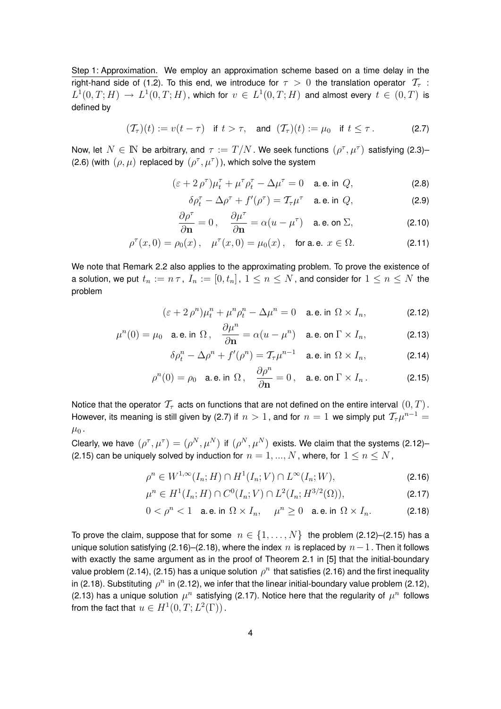Step 1: Approximation. We employ an approximation scheme based on a time delay in the right-hand side of (1.2). To this end, we introduce for  $\tau > 0$  the translation operator  $\mathcal{T}_{\tau}$ :  $L^1(0,T;H) \to L^1(0,T;H)$ , which for  $v \in L^1(0,T;H)$  and almost every  $t \in (0,T)$  is defined by

$$
(\mathcal{T}_{\tau})(t) := v(t - \tau) \quad \text{if } t > \tau, \quad \text{and } (\mathcal{T}_{\tau})(t) := \mu_0 \quad \text{if } t \leq \tau. \tag{2.7}
$$

Now, let  $N \in \mathbb{N}$  be arbitrary, and  $\tau := T/N$ . We seek functions  $(\rho^\tau, \mu^\tau)$  satisfying (2.3)-(2.6) (with  $(\rho, \mu)$  replaced by  $(\rho^{\tau}, \mu^{\tau})$ ), which solve the system

$$
(\varepsilon + 2 \rho^{\tau})\mu_t^{\tau} + \mu^{\tau}\rho_t^{\tau} - \Delta\mu^{\tau} = 0 \quad \text{a.e. in } Q,
$$
 (2.8)

$$
\delta \rho_t^{\tau} - \Delta \rho^{\tau} + f'(\rho^{\tau}) = \mathcal{T}_{\tau} \mu^{\tau} \quad \text{a.e. in } Q,
$$
 (2.9)

$$
\frac{\partial \rho^{\tau}}{\partial \mathbf{n}} = 0, \quad \frac{\partial \mu^{\tau}}{\partial \mathbf{n}} = \alpha (u - \mu^{\tau}) \quad \text{a.e. on } \Sigma,
$$
 (2.10)

$$
\rho^{\tau}(x,0) = \rho_0(x), \quad \mu^{\tau}(x,0) = \mu_0(x), \quad \text{for a.e. } x \in \Omega.
$$
 (2.11)

We note that Remark 2.2 also applies to the approximating problem. To prove the existence of a solution, we put  $t_n := n \tau$ ,  $I_n := [0, t_n]$ ,  $1 \leq n \leq N$ , and consider for  $1 \leq n \leq N$  the problem

$$
(\varepsilon + 2 \rho^n) \mu_t^n + \mu^n \rho_t^n - \Delta \mu^n = 0 \quad \text{a.e. in } \Omega \times I_n,
$$
 (2.12)

$$
\mu^{n}(0) = \mu_{0} \quad \text{a.e. in } \Omega \,, \quad \frac{\partial \mu^{n}}{\partial \mathbf{n}} = \alpha (u - \mu^{n}) \quad \text{a.e. on } \Gamma \times I_{n}, \tag{2.13}
$$

$$
\delta \rho_t^n - \Delta \rho^n + f'(\rho^n) = \mathcal{T}_{\tau} \mu^{n-1} \quad \text{a.e. in } \Omega \times I_n,
$$
 (2.14)

$$
\rho^{n}(0) = \rho_0 \quad \text{a.e. in } \Omega \,, \quad \frac{\partial \rho^{n}}{\partial \mathbf{n}} = 0 \,, \quad \text{a.e. on } \Gamma \times I_n \,. \tag{2.15}
$$

Notice that the operator  $\mathcal{T}_{\tau}$  acts on functions that are not defined on the entire interval  $(0, T)$ . However, its meaning is still given by (2.7) if  $n>1$  , and for  $n=1$  we simply put  $\textstyle \mathcal{T}_\tau \mu^{n-1} =$  $\mu_0$ .

Clearly, we have  $(\rho^\tau,\mu^\tau)=(\rho^N,\mu^N)$  if  $(\rho^N,\mu^N)$  exists. We claim that the systems (2.12)– (2.15) can be uniquely solved by induction for  $n = 1, ..., N$ , where, for  $1 \leq n \leq N$ ,

$$
\rho^n \in W^{1,\infty}(I_n;H) \cap H^1(I_n;V) \cap L^\infty(I_n;W),\tag{2.16}
$$

$$
\mu^{n} \in H^{1}(I_{n}; H) \cap C^{0}(I_{n}; V) \cap L^{2}(I_{n}; H^{3/2}(\Omega)), \tag{2.17}
$$

$$
0 < \rho^n < 1 \quad \text{a.e. in } \Omega \times I_n, \quad \mu^n \ge 0 \quad \text{a.e. in } \Omega \times I_n. \tag{2.18}
$$

To prove the claim, suppose that for some  $n \in \{1, ..., N\}$  the problem (2.12)–(2.15) has a unique solution satisfying (2.16)–(2.18), where the index n is replaced by  $n-1$ . Then it follows with exactly the same argument as in the proof of Theorem 2.1 in [5] that the initial-boundary value problem (2.14), (2.15) has a unique solution  $\rho^n$  that satisfies (2.16) and the first inequality in (2.18). Substituting  $\rho^n$  in (2.12), we infer that the linear initial-boundary value problem (2.12), (2.13) has a unique solution  $\mu^n$  satisfying (2.17). Notice here that the regularity of  $\mu^n$  follows from the fact that  $u \in H^1(0,T; L^2(\Gamma))$  .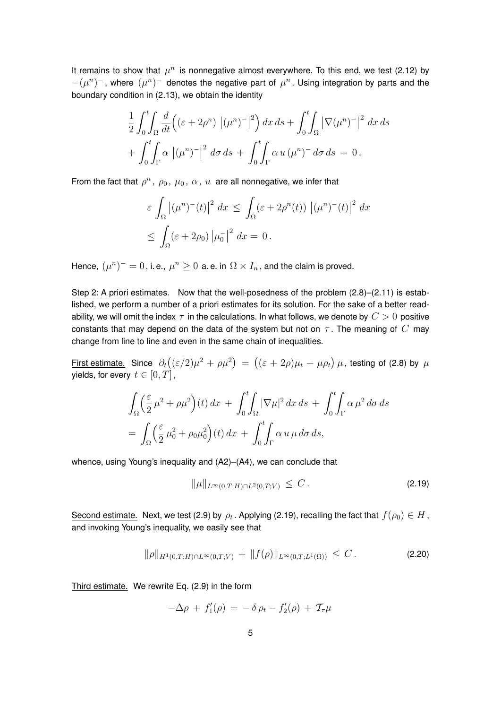It remains to show that  $\mu^n$  is nonnegative almost everywhere. To this end, we test (2.12) by  $-(\mu^n)^-$ , where  $(\mu^n)^-$  denotes the negative part of  $\mu^n$ . Using integration by parts and the boundary condition in (2.13), we obtain the identity

$$
\frac{1}{2} \int_0^t \int_{\Omega} \frac{d}{dt} \left( (\varepsilon + 2\rho^n) \left| (\mu^n)^{-} \right|^2 \right) dx \, ds + \int_0^t \int_{\Omega} \left| \nabla (\mu^n)^{-} \right|^2 \, dx \, ds
$$

$$
+ \int_0^t \int_{\Gamma} \alpha \left| (\mu^n)^{-} \right|^2 \, d\sigma \, ds + \int_0^t \int_{\Gamma} \alpha \, u \, (\mu^n)^{-} \, d\sigma \, ds = 0 \, .
$$

From the fact that  $\rho^n$ ,  $\rho_0$ ,  $\mu_0$ ,  $\alpha$ ,  $u$  are all nonnegative, we infer that

$$
\varepsilon \int_{\Omega} \left| (\mu^n)^{-}(t) \right|^2 dx \le \int_{\Omega} (\varepsilon + 2\rho^n(t)) \left| (\mu^n)^{-}(t) \right|^2 dx
$$
  

$$
\le \int_{\Omega} (\varepsilon + 2\rho_0) \left| \mu_0^{-} \right|^2 dx = 0.
$$

Hence,  $(\mu^n)^+ = 0$  , i. e.,  $\mu^n \geq 0$  a. e. in  $\Omega \times I_n$  , and the claim is proved.

Step 2: A priori estimates. Now that the well-posedness of the problem (2.8)–(2.11) is established, we perform a number of a priori estimates for its solution. For the sake of a better readability, we will omit the index  $\tau$  in the calculations. In what follows, we denote by  $C > 0$  positive constants that may depend on the data of the system but not on  $\tau$ . The meaning of  $C$  may change from line to line and even in the same chain of inequalities.

First estimate. Since  $\,\partial_t\big((\varepsilon/2)\mu^2+\rho\mu^2\big)\,=\, \big((\varepsilon+2\rho)\mu_t+\mu\rho_t\big)\,\mu$  , testing of (2.8) by  $\,\mu$ yields, for every  $t \in [0, T]$ ,

$$
\int_{\Omega} \left(\frac{\varepsilon}{2} \mu^2 + \rho \mu^2\right)(t) dx + \int_0^t \int_{\Omega} |\nabla \mu|^2 dx ds + \int_0^t \int_{\Gamma} \alpha \mu^2 d\sigma ds
$$
  
= 
$$
\int_{\Omega} \left(\frac{\varepsilon}{2} \mu_0^2 + \rho_0 \mu_0^2\right)(t) dx + \int_0^t \int_{\Gamma} \alpha u \mu d\sigma ds,
$$

whence, using Young's inequality and (A2)–(A4), we can conclude that

$$
\|\mu\|_{L^{\infty}(0,T;H)\cap L^{2}(0,T;V)} \leq C.
$$
\n(2.19)

Second estimate. Next, we test (2.9) by  $\rho_t$  . Applying (2.19), recalling the fact that  $f(\rho_0)\in H$  , and invoking Young's inequality, we easily see that

$$
\|\rho\|_{H^1(0,T;H)\cap L^\infty(0,T;V)} + \|f(\rho)\|_{L^\infty(0,T;L^1(\Omega))} \leq C.
$$
\n(2.20)

Third estimate. We rewrite Eq. (2.9) in the form

$$
-\Delta \rho + f_1'(\rho) = -\delta \rho_t - f_2'(\rho) + \mathcal{T}_{\tau} \mu
$$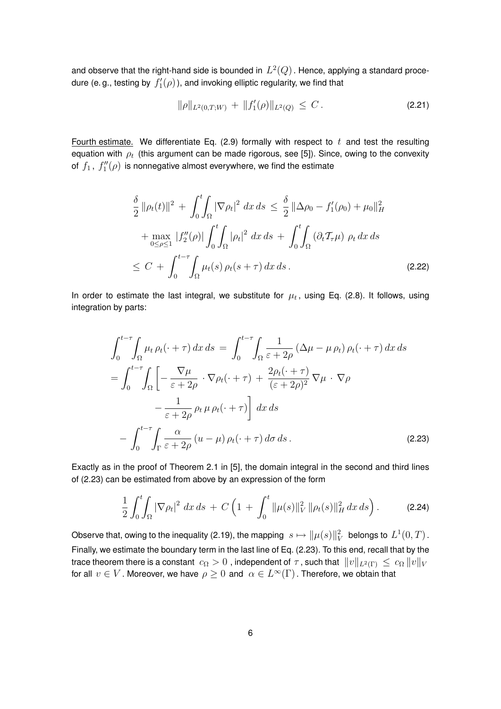and observe that the right-hand side is bounded in  $\,L^2(Q)$  . Hence, applying a standard procedure (e. g., testing by  $\,f'_{1}(\rho)$  ), and invoking elliptic regularity, we find that

$$
\|\rho\|_{L^2(0,T;W)} + \|f'_1(\rho)\|_{L^2(Q)} \leq C. \tag{2.21}
$$

Fourth estimate. We differentiate Eq. (2.9) formally with respect to  $t$  and test the resulting equation with  $\rho_t$  (this argument can be made rigorous, see [5]). Since, owing to the convexity of  $f_1$  ,  $f''_1(\rho)$  is nonnegative almost everywhere, we find the estimate

$$
\frac{\delta}{2} ||\rho_t(t)||^2 + \int_0^t \int_{\Omega} |\nabla \rho_t|^2 dx ds \le \frac{\delta}{2} ||\Delta \rho_0 - f'_1(\rho_0) + \mu_0||_H^2 \n+ \max_{0 \le \rho \le 1} |f''_2(\rho)| \int_0^t \int_{\Omega} |\rho_t|^2 dx ds + \int_0^t \int_{\Omega} (\partial_t \mathcal{T}_{\tau} \mu) \rho_t dx ds \n\le C + \int_0^{t-\tau} \int_{\Omega} \mu_t(s) \rho_t(s+\tau) dx ds.
$$
\n(2.22)

In order to estimate the last integral, we substitute for  $\mu_t$ , using Eq. (2.8). It follows, using integration by parts:

$$
\int_{0}^{t-\tau} \int_{\Omega} \mu_{t} \rho_{t}(\cdot + \tau) dx ds = \int_{0}^{t-\tau} \int_{\Omega} \frac{1}{\varepsilon + 2\rho} (\Delta \mu - \mu \rho_{t}) \rho_{t}(\cdot + \tau) dx ds
$$
  
\n
$$
= \int_{0}^{t-\tau} \int_{\Omega} \left[ -\frac{\nabla \mu}{\varepsilon + 2\rho} \cdot \nabla \rho_{t}(\cdot + \tau) + \frac{2\rho_{t}(\cdot + \tau)}{(\varepsilon + 2\rho)^{2}} \nabla \mu \cdot \nabla \rho
$$
  
\n
$$
- \frac{1}{\varepsilon + 2\rho} \rho_{t} \mu \rho_{t}(\cdot + \tau) \right] dx ds
$$
  
\n
$$
- \int_{0}^{t-\tau} \int_{\Gamma} \frac{\alpha}{\varepsilon + 2\rho} (u - \mu) \rho_{t}(\cdot + \tau) d\sigma ds.
$$
 (2.23)

Exactly as in the proof of Theorem 2.1 in [5], the domain integral in the second and third lines of (2.23) can be estimated from above by an expression of the form

$$
\frac{1}{2} \int_0^t \int_{\Omega} |\nabla \rho_t|^2 \, dx \, ds + C \left( 1 + \int_0^t \|\mu(s)\|_V^2 \, \|\rho_t(s)\|_H^2 \, dx \, ds \right). \tag{2.24}
$$

Observe that, owing to the inequality (2.19), the mapping  $\|s\mapsto \|\mu(s)\|_{V}^{2}$  belongs to  $L^{1}(0,T)$  . Finally, we estimate the boundary term in the last line of Eq. (2.23). To this end, recall that by the trace theorem there is a constant  $c_{\Omega} > 0$ , independent of  $\tau$ , such that  $||v||_{L^2(\Gamma)} \leq c_{\Omega} ||v||_V$ for all  $v\in V$  . Moreover, we have  $\rho\geq 0$  and  $\ \alpha\in L^\infty(\Gamma)$  . Therefore, we obtain that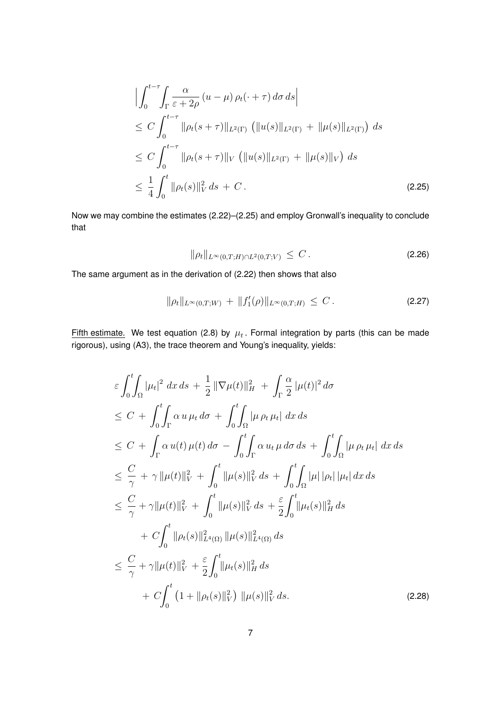$$
\left| \int_{0}^{t-\tau} \int_{\Gamma} \frac{\alpha}{\varepsilon + 2\rho} (u - \mu) \rho_{t}(\cdot + \tau) d\sigma ds \right|
$$
  
\n
$$
\leq C \int_{0}^{t-\tau} \|\rho_{t}(s+\tau)\|_{L^{2}(\Gamma)} (\|u(s)\|_{L^{2}(\Gamma)} + \|\mu(s)\|_{L^{2}(\Gamma)}) ds
$$
  
\n
$$
\leq C \int_{0}^{t-\tau} \|\rho_{t}(s+\tau)\|_{V} (\|u(s)\|_{L^{2}(\Gamma)} + \|\mu(s)\|_{V}) ds
$$
  
\n
$$
\leq \frac{1}{4} \int_{0}^{t} \|\rho_{t}(s)\|_{V}^{2} ds + C.
$$
\n(2.25)

Now we may combine the estimates (2.22)–(2.25) and employ Gronwall's inequality to conclude that

$$
\|\rho_t\|_{L^{\infty}(0,T;H)\cap L^2(0,T;V)} \leq C.
$$
\n(2.26)

The same argument as in the derivation of (2.22) then shows that also

$$
\|\rho_t\|_{L^{\infty}(0,T;W)} + \|f'_1(\rho)\|_{L^{\infty}(0,T;H)} \leq C.
$$
\n(2.27)

Fifth estimate. We test equation (2.8) by  $\mu_t$ . Formal integration by parts (this can be made rigorous), using (A3), the trace theorem and Young's inequality, yields:

$$
\varepsilon \int_{0}^{t} \int_{\Omega} |\mu_{t}|^{2} dx ds + \frac{1}{2} ||\nabla \mu(t)||_{H}^{2} + \int_{\Gamma} \frac{\alpha}{2} |\mu(t)|^{2} d\sigma
$$
\n
$$
\leq C + \int_{0}^{t} \int_{\Gamma} \alpha u \mu_{t} d\sigma + \int_{0}^{t} \int_{\Omega} |\mu \rho_{t} \mu_{t}| dx ds
$$
\n
$$
\leq C + \int_{\Gamma} \alpha u(t) \mu(t) d\sigma - \int_{0}^{t} \int_{\Gamma} \alpha u_{t} \mu d\sigma ds + \int_{0}^{t} \int_{\Omega} |\mu \rho_{t} \mu_{t}| dx ds
$$
\n
$$
\leq \frac{C}{\gamma} + \gamma ||\mu(t)||_{V}^{2} + \int_{0}^{t} ||\mu(s)||_{V}^{2} ds + \int_{0}^{t} \int_{\Omega} |\mu| |\rho_{t}| |\mu_{t}| dx ds
$$
\n
$$
\leq \frac{C}{\gamma} + \gamma ||\mu(t)||_{V}^{2} + \int_{0}^{t} ||\mu(s)||_{V}^{2} ds + \frac{\varepsilon}{2} \int_{0}^{t} ||\mu_{t}(s)||_{H}^{2} ds
$$
\n
$$
+ C \int_{0}^{t} ||\rho_{t}(s)||_{L^{4}(\Omega)}^{2} ||\mu(s)||_{L^{4}(\Omega)}^{2} ds
$$
\n
$$
\leq \frac{C}{\gamma} + \gamma ||\mu(t)||_{V}^{2} + \frac{\varepsilon}{2} \int_{0}^{t} ||\mu_{t}(s)||_{H}^{2} ds
$$
\n
$$
+ C \int_{0}^{t} (1 + ||\rho_{t}(s)||_{V}^{2}) ||\mu(s)||_{V}^{2} ds. \qquad (2.28)
$$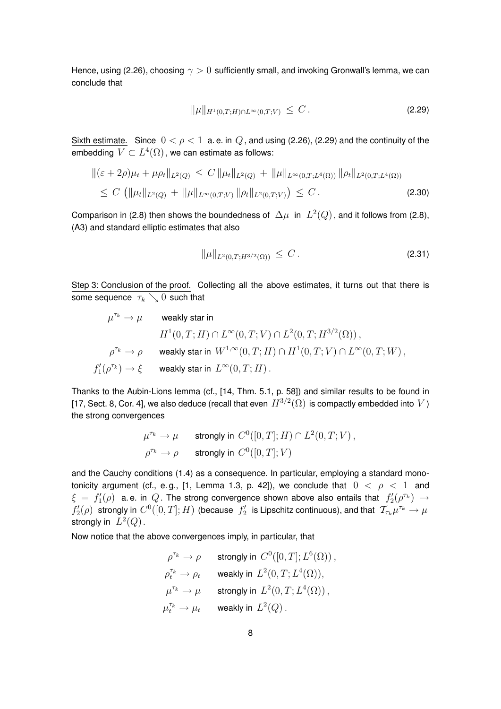Hence, using (2.26), choosing  $\gamma > 0$  sufficiently small, and invoking Gronwall's lemma, we can conclude that

$$
\|\mu\|_{H^1(0,T;H)\cap L^\infty(0,T;V)} \leq C.
$$
\n(2.29)

Sixth estimate. Since  $0 < \rho < 1$  a.e. in Q, and using (2.26), (2.29) and the continuity of the embedding  $\,V\subset L^4(\Omega)$  , we can estimate as follows:

$$
\|(\varepsilon + 2\rho)\mu_t + \mu \rho_t\|_{L^2(Q)} \le C \|\mu_t\|_{L^2(Q)} + \|\mu\|_{L^\infty(0,T;L^4(\Omega))} \|\rho_t\|_{L^2(0,T;L^4(\Omega))}
$$
  
 
$$
\le C \left( \|\mu_t\|_{L^2(Q)} + \|\mu\|_{L^\infty(0,T;V)} \|\rho_t\|_{L^2(0,T;V)} \right) \le C.
$$
 (2.30)

Comparison in (2.8) then shows the boundedness of  $\Delta\mu$  in  $L^2(Q)$ , and it follows from (2.8), (A3) and standard elliptic estimates that also

$$
\|\mu\|_{L^2(0,T;H^{3/2}(\Omega))} \leq C. \tag{2.31}
$$

Step 3: Conclusion of the proof. Collecting all the above estimates, it turns out that there is some sequence  $\tau_k \searrow 0$  such that

$$
\begin{array}{lll} \mu^{\tau_k} \rightarrow \mu & \quad \text{weakly star in} \\ & & H^1(0,T;H) \cap L^\infty(0,T;V) \cap L^2(0,T;H^{3/2}(\Omega)) \,, \\ & & \\ \rho^{\tau_k} \rightarrow \rho & \quad \text{weakly star in} \ \ W^{1,\infty}(0,T;H) \cap H^1(0,T;V) \cap L^\infty(0,T;W) \,, \\ & & \\ f'_1(\rho^{\tau_k}) \rightarrow \xi & \quad \text{weakly star in} \ \ L^\infty(0,T;H) \,. \end{array}
$$

Thanks to the Aubin-Lions lemma (cf., [14, Thm. 5.1, p. 58]) and similar results to be found in [17, Sect. 8, Cor. 4], we also deduce (recall that even  $H^{3/2}(\Omega)$  is compactly embedded into  $V$  ) the strong convergences

$$
\mu^{\tau_k} \to \mu \qquad \text{strongly in } C^0([0, T]; H) \cap L^2(0, T; V) ,
$$
  

$$
\rho^{\tau_k} \to \rho \qquad \text{strongly in } C^0([0, T]; V)
$$

and the Cauchy conditions (1.4) as a consequence. In particular, employing a standard monotonicity argument (cf., e.g., [1, Lemma 1.3, p. 42]), we conclude that  $0 < \rho < 1$  and  $\xi\,=\,f_1'(\rho)\,$  a.e. in  $\,Q$  . The strong convergence shown above also entails that  $\,f_2'(\rho^{\tau_k})\,\rightarrow\,$  $f_2'(\rho)$  strongly in  $C^0([0,T];H)$  (because  $\,f_2'$  is Lipschitz continuous), and that  $\,\mathcal{T}_{\tau_k}\mu^{\tau_k}\to\mu\,$ strongly in  $L^2(Q)$ .

Now notice that the above convergences imply, in particular, that

$$
\begin{aligned}\n\rho^{\tau_k} &\rightarrow \rho &\text{strongly in } C^0([0,T]; L^6(\Omega))\,, \\
\rho^{\tau_k}_t &\rightarrow \rho_t &\text{weakly in } L^2(0,T; L^4(\Omega))\,, \\
\mu^{\tau_k} &\rightarrow \mu &\text{strongly in } L^2(0,T; L^4(\Omega))\,, \\
\mu^{\tau_k}_t &\rightarrow \mu_t &\text{weakly in } L^2(Q)\,. \n\end{aligned}
$$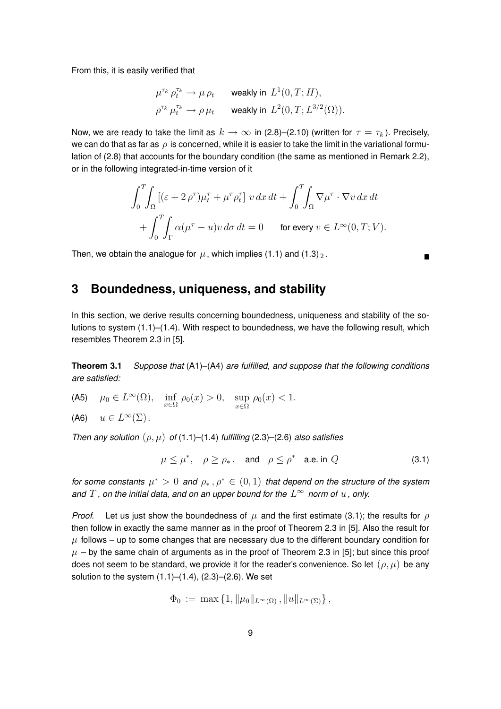From this, it is easily verified that

$$
\begin{aligned} & \mu^{\tau_k}\,\rho^{\tau_k}_t \rightarrow \mu\,\rho_t \qquad \text{weakly in}\,\, L^1(0,T;H),\\ & \rho^{\tau_k}\,\mu^{\tau_k}_t \rightarrow \rho\,\mu_t \qquad \text{weakly in}\,\, L^2(0,T;L^{3/2}(\Omega)). \end{aligned}
$$

Now, we are ready to take the limit as  $k \to \infty$  in (2.8)–(2.10) (written for  $\tau = \tau_k$ ). Precisely, we can do that as far as  $\rho$  is concerned, while it is easier to take the limit in the variational formulation of (2.8) that accounts for the boundary condition (the same as mentioned in Remark 2.2), or in the following integrated-in-time version of it

$$
\int_0^T \int_{\Omega} \left[ (\varepsilon + 2 \rho^{\tau}) \mu_t^{\tau} + \mu^{\tau} \rho_t^{\tau} \right] v \, dx \, dt + \int_0^T \int_{\Omega} \nabla \mu^{\tau} \cdot \nabla v \, dx \, dt + \int_0^T \int_{\Gamma} \alpha (\mu^{\tau} - u) v \, d\sigma \, dt = 0 \qquad \text{for every } v \in L^{\infty}(0, T; V).
$$

Then, we obtain the analogue for  $\mu$ , which implies (1.1) and (1.3)  $\Omega$ .

### **3 Boundedness, uniqueness, and stability**

In this section, we derive results concerning boundedness, uniqueness and stability of the solutions to system (1.1)–(1.4). With respect to boundedness, we have the following result, which resembles Theorem 2.3 in [5].

**Theorem 3.1** *Suppose that* (A1)–(A4) *are fulfilled, and suppose that the following conditions are satisfied:*

(A5)  $\mu_0 \in L^{\infty}(\Omega)$ ,  $\inf_{x \in \Omega} \rho_0(x) > 0$ ,  $\sup_{x \in \Omega} \rho_0(x) < 1$ .

 $(A6)$   $u \in L^{\infty}(\Sigma)$ .

*Then any solution*  $(\rho, \mu)$  *of* (1.1)–(1.4) *fulfilling* (2.3)–(2.6) *also satisfies* 

$$
\mu \le \mu^*, \quad \rho \ge \rho_*, \quad \text{and} \quad \rho \le \rho^* \quad \text{a.e. in } Q \tag{3.1}
$$

*for some constants*  $\mu^* > 0$  *and*  $\rho_*, \rho^* \in (0,1)$  *that depend on the structure of the system* and  $T$  , on the initial data, and on an upper bound for the  $L^\infty$  norm of  $u$  , only.

*Proof.* Let us just show the boundedness of  $\mu$  and the first estimate (3.1); the results for  $\rho$ then follow in exactly the same manner as in the proof of Theorem 2.3 in [5]. Also the result for  $\mu$  follows – up to some changes that are necessary due to the different boundary condition for  $\mu$  – by the same chain of arguments as in the proof of Theorem 2.3 in [5]; but since this proof does not seem to be standard, we provide it for the reader's convenience. So let  $(\rho, \mu)$  be any solution to the system  $(1.1)$ – $(1.4)$ ,  $(2.3)$ – $(2.6)$ . We set

$$
\Phi_0 := \max \{ 1, \|\mu_0\|_{L^{\infty}(\Omega)}, \|u\|_{L^{\infty}(\Sigma)} \},
$$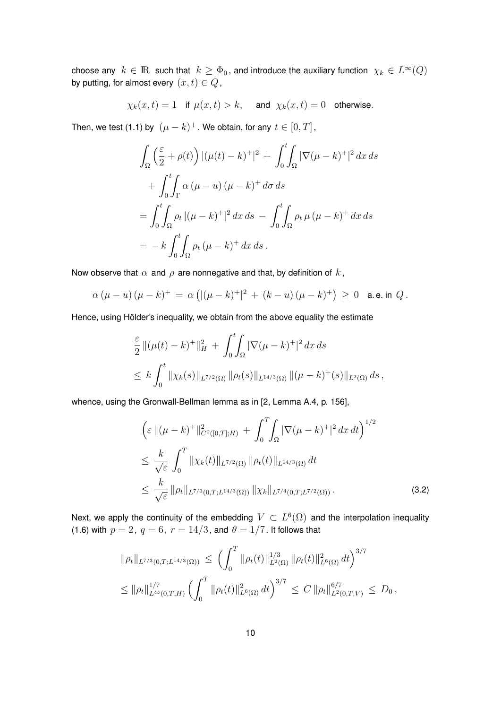choose any  $k\in{\rm I\!R\,}$  such that  $\,k\ge\Phi_0$  , and introduce the auxiliary function  $\,\chi_k\in L^\infty(Q)\,$ by putting, for almost every  $(x, t) \in Q$ ,

$$
\chi_k(x,t)=1\quad\text{if }\mu(x,t)>k,\quad\text{ and }\;\chi_k(x,t)=0\quad\text{otherwise}.
$$

Then, we test (1.1) by  $(\mu-k)^+$  . We obtain, for any  $t\in[0,T]$  ,

$$
\int_{\Omega} \left( \frac{\varepsilon}{2} + \rho(t) \right) |(\mu(t) - k)^{+}|^{2} + \int_{0}^{t} \int_{\Omega} |\nabla(\mu - k)^{+}|^{2} dx ds
$$
  
+ 
$$
\int_{0}^{t} \int_{\Gamma} \alpha (\mu - u) (\mu - k)^{+} d\sigma ds
$$
  
= 
$$
\int_{0}^{t} \int_{\Omega} \rho_{t} |(\mu - k)^{+}|^{2} dx ds - \int_{0}^{t} \int_{\Omega} \rho_{t} \mu (\mu - k)^{+} dx ds
$$
  
= 
$$
- k \int_{0}^{t} \int_{\Omega} \rho_{t} (\mu - k)^{+} dx ds.
$$

Now observe that  $\alpha$  and  $\rho$  are nonnegative and that, by definition of  $k$ ,

$$
\alpha (\mu - u) (\mu - k)^{+} = \alpha \left( |(\mu - k)^{+}|^{2} + (k - u) (\mu - k)^{+} \right) \ge 0 \quad \text{a.e. in } Q.
$$

Hence, using Hölder's inequality, we obtain from the above equality the estimate

$$
\frac{\varepsilon}{2} \| (\mu(t) - k)^+ \|_H^2 + \int_0^t \int_{\Omega} |\nabla(\mu - k)^+|^2 dx ds
$$
  
\n
$$
\leq k \int_0^t \| \chi_k(s) \|_{L^{7/2}(\Omega)} \| \rho_t(s) \|_{L^{14/3}(\Omega)} \| (\mu - k)^+ (s) \|_{L^2(\Omega)} ds,
$$

whence, using the Gronwall-Bellman lemma as in [2, Lemma A.4, p. 156],

$$
\begin{split}\n&\left(\varepsilon \, \left\|(\mu - k)^{+}\right\|_{C^{0}([0, T]; H)}^{2} + \int_{0}^{T} \int_{\Omega} |\nabla(\mu - k)^{+}|^{2} \, dx \, dt\right)^{1/2} \\
&\leq \frac{k}{\sqrt{\varepsilon}} \int_{0}^{T} \|\chi_{k}(t)\|_{L^{7/2}(\Omega)} \, \|\rho_{t}(t)\|_{L^{14/3}(\Omega)} \, dt \\
&\leq \frac{k}{\sqrt{\varepsilon}} \, \|\rho_{t}\|_{L^{7/3}(0, T; L^{14/3}(\Omega))} \, \|\chi_{k}\|_{L^{7/4}(0, T; L^{7/2}(\Omega))} \, .\n\end{split} \tag{3.2}
$$

Next, we apply the continuity of the embedding  $V\subset L^{6}(\Omega)$  and the interpolation inequality (1.6) with  $p = 2$ ,  $q = 6$ ,  $r = 14/3$ , and  $\theta = 1/7$ . It follows that

$$
\|\rho_t\|_{L^{7/3}(0,T;L^{14/3}(\Omega))} \leq \left(\int_0^T \|\rho_t(t)\|_{L^2(\Omega)}^{1/3} \|\rho_t(t)\|_{L^6(\Omega)}^2 dt\right)^{3/7}
$$
  

$$
\leq \|\rho_t\|_{L^{\infty}(0,T;H)}^{1/7} \left(\int_0^T \|\rho_t(t)\|_{L^6(\Omega)}^2 dt\right)^{3/7} \leq C \|\rho_t\|_{L^2(0,T;V)}^{6/7} \leq D_0,
$$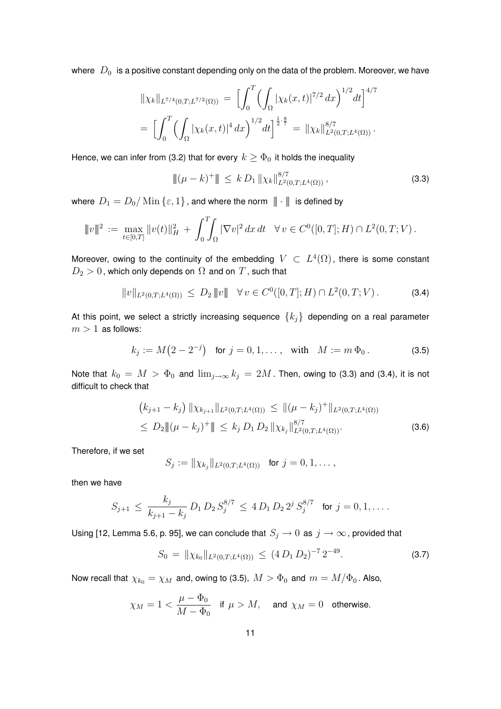where  $\ D_{0}\ \;$  is a positive constant depending only on the data of the problem. Moreover, we have

$$
\|\chi_k\|_{L^{7/4}(0,T;L^{7/2}(\Omega))} = \left[\int_0^T \left(\int_{\Omega} |\chi_k(x,t)|^{7/2} dx\right)^{1/2} dt\right]^{4/7}
$$
  
= 
$$
\left[\int_0^T \left(\int_{\Omega} |\chi_k(x,t)|^4 dx\right)^{1/2} dt\right]^{\frac{1}{2}\cdot\frac{8}{7}} = \|\chi_k\|_{L^2(0,T;L^4(\Omega))}^{8/7}.
$$

Hence, we can infer from (3.2) that for every  $k \geq \Phi_0$  it holds the inequality

$$
\|(\mu - k)^+\| \leq k D_1 \|\chi_k\|_{L^2(0,T;L^4(\Omega))}^{8/7},\tag{3.3}
$$

where  $D_1 = D_0/\operatorname{Min} {\{\varepsilon, 1\}}$ , and where the norm  $\|\cdot\|$  is defined by

$$
\|v\|^2 := \max_{t \in [0,T]} \|v(t)\|_H^2 + \int_0^T \int_{\Omega} |\nabla v|^2 dx dt \quad \forall v \in C^0([0,T];H) \cap L^2(0,T;V).
$$

Moreover, owing to the continuity of the embedding  $V\,\subset\, L^4(\Omega)$ , there is some constant  $D_2 > 0$ , which only depends on  $\Omega$  and on  $T$ , such that

$$
||v||_{L^{2}(0,T;L^{4}(\Omega))} \leq D_{2} ||v|| \quad \forall v \in C^{0}([0,T];H) \cap L^{2}(0,T;V).
$$
 (3.4)

At this point, we select a strictly increasing sequence  $\{k_j\}$  depending on a real parameter  $m > 1$  as follows:

$$
k_j := M(2 - 2^{-j})
$$
 for  $j = 0, 1, ...$ , with  $M := m \Phi_0$ . (3.5)

Note that  $k_0 = M > \Phi_0$  and  $\lim_{j\to\infty} k_j = 2M$ . Then, owing to (3.3) and (3.4), it is not difficult to check that

$$
(k_{j+1} - k_j) \| \chi_{k_{j+1}} \|_{L^2(0,T;L^4(\Omega))} \le \| (\mu - k_j)^+ \|_{L^2(0,T;L^4(\Omega))}
$$
  
\n
$$
\le D_2 \| (\mu - k_j)^+ \| \le k_j D_1 D_2 \| \chi_{k_j} \|_{L^2(0,T;L^4(\Omega))}^{8/7}.
$$
\n(3.6)

Therefore, if we set

$$
S_j := \|\chi_{k_j}\|_{L^2(0,T;L^4(\Omega))} \text{ for } j = 0,1,\ldots,
$$

then we have

$$
S_{j+1} \, \leq \, \frac{k_j}{k_{j+1} - k_j} \, D_1 \, D_2 \, S_j^{8/7} \, \leq \, 4 \, D_1 \, D_2 \, 2^j \, S_j^{8/7} \quad \text{for } j = 0, 1, \dots.
$$

Using [12, Lemma 5.6, p. 95], we can conclude that  $S_j \to 0$  as  $j \to \infty$ , provided that

$$
S_0 = \|\chi_{k_0}\|_{L^2(0,T;L^4(\Omega))} \le (4 D_1 D_2)^{-7} 2^{-49}.
$$
 (3.7)

Now recall that  $\chi_{k_0} = \chi_M$  and, owing to (3.5),  $M > \Phi_0$  and  $m = M/\Phi_0$ . Also,

$$
\chi_M=1<\frac{\mu-\Phi_0}{M-\Phi_0}\quad\text{if }\mu>M,\quad\text{ and }\chi_M=0\quad\text{otherwise.}
$$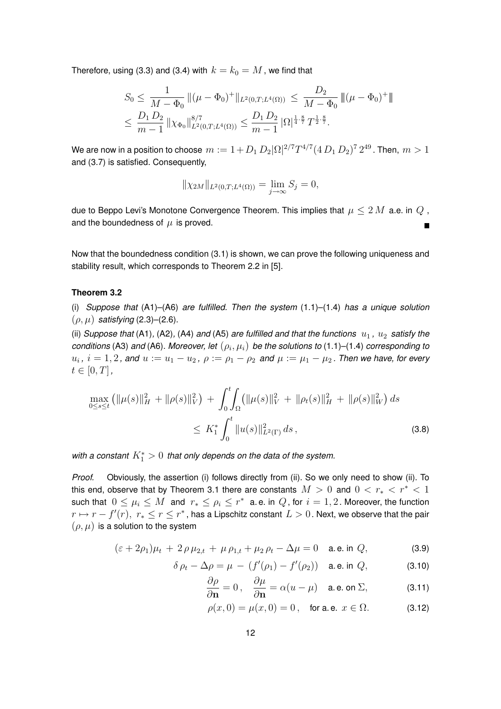Therefore, using (3.3) and (3.4) with  $k = k_0 = M$ , we find that

$$
S_0 \le \frac{1}{M - \Phi_0} \| (\mu - \Phi_0)^+ \|_{L^2(0, T; L^4(\Omega))} \le \frac{D_2}{M - \Phi_0} \| (\mu - \Phi_0)^+ \|
$$
  

$$
\le \frac{D_1 D_2}{m - 1} \| \chi_{\Phi_0} \|_{L^2(0, T; L^4(\Omega))}^{8/7} \le \frac{D_1 D_2}{m - 1} |\Omega|^{\frac{1}{4} \cdot \frac{8}{7}} T^{\frac{1}{2} \cdot \frac{8}{7}}.
$$

We are now in a position to choose  $\,m:=1+D_1\,D_2|\Omega|^{2/7}T^{4/7}(4\,D_1\,D_2)^7\,2^{49}$  . Then,  $\,m>1$ and (3.7) is satisfied. Consequently,

$$
\|\chi_{2M}\|_{L^2(0,T;L^4(\Omega))} = \lim_{j \to \infty} S_j = 0,
$$

due to Beppo Levi's Monotone Convergence Theorem. This implies that  $\mu \leq 2 M$  a.e. in  $Q$ , and the boundedness of  $\mu$  is proved.  $\blacksquare$ 

Now that the boundedness condition (3.1) is shown, we can prove the following uniqueness and stability result, which corresponds to Theorem 2.2 in [5].

#### **Theorem 3.2**

(i) *Suppose that* (A1)–(A6) *are fulfilled. Then the system* (1.1)–(1.4) *has a unique solution*  $(\rho, \mu)$  *satisfying* (2.3)–(2.6).

(ii) *Suppose that* (A1), (A2), (A4) and (A5) are fulfilled and that the functions  $u_1$ ,  $u_2$  satisfy the  $c$ onditions (A3) and (A6). Moreover, let  $(\rho_i, \mu_i)$  be the solutions to (1.1)–(1.4) *corresponding to*  $u_i$  ,  $i=1,2$  , and  $u := u_1 - u_2$  ,  $\rho := \rho_1 - \rho_2$  and  $\mu := \mu_1 - \mu_2$  . Then we have, for every  $t \in [0, T]$ ,

$$
\max_{0 \le s \le t} \left( \|\mu(s)\|_{H}^{2} + \|\rho(s)\|_{V}^{2} \right) + \int_{0}^{t} \int_{\Omega} \left( \|\mu(s)\|_{V}^{2} + \|\rho_{t}(s)\|_{H}^{2} + \|\rho(s)\|_{W}^{2} \right) ds
$$
\n
$$
\le K_{1}^{*} \int_{0}^{t} \|u(s)\|_{L^{2}(\Gamma)}^{2} ds ,
$$
\n(3.8)

with a constant  $K_1^* > 0\,$  that only depends on the data of the system.

*Proof.* Obviously, the assertion (i) follows directly from (ii). So we only need to show (ii). To this end, observe that by Theorem 3.1 there are constants  $M > 0$  and  $0 < r_* < r^* < 1$ such that  $0\leq \mu_i\leq M$  and  $\ r_*\leq \rho_i\leq r^*$  a.e. in  $Q$ , for  $i=1,2$ . Moreover, the function  $r\mapsto r-f'(r),\; r_*\leq r\leq r^*$  , has a Lipschitz constant  $L>0$  . Next, we observe that the pair  $(\rho, \mu)$  is a solution to the system

$$
(\varepsilon + 2\rho_1)\mu_t + 2\rho \mu_{2,t} + \mu \rho_{1,t} + \mu_2 \rho_t - \Delta \mu = 0 \quad \text{a.e. in } Q,
$$
 (3.9)

$$
\delta \rho_t - \Delta \rho = \mu - (f'(\rho_1) - f'(\rho_2)) \quad \text{a.e. in } Q,\tag{3.10}
$$

$$
\frac{\partial \rho}{\partial \mathbf{n}} = 0, \quad \frac{\partial \mu}{\partial \mathbf{n}} = \alpha (u - \mu) \quad \text{a. e. on } \Sigma,
$$
 (3.11)

$$
\rho(x,0) = \mu(x,0) = 0, \text{ for a.e. } x \in \Omega.
$$
 (3.12)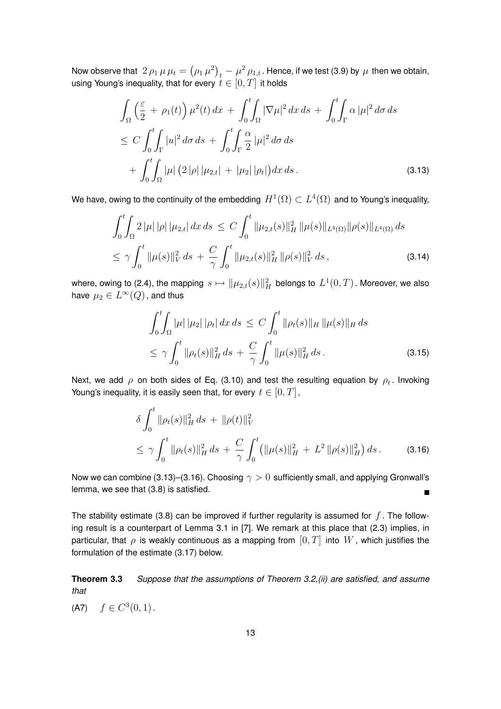Now observe that  $\ket{2\,\rho_1\,\mu\,\mu_t=\left(\rho_1\,\mu^2\right)_t-\mu^2\,\rho_{1,t}}$  . Hence, if we test (3.9) by  $\,\mu$  then we obtain, using Young's inequality, that for every  $t\in [0,T]$  it holds

$$
\int_{\Omega} \left( \frac{\varepsilon}{2} + \rho_1(t) \right) \mu^2(t) \, dx + \int_0^t \int_{\Omega} |\nabla \mu|^2 \, dx \, ds + \int_0^t \int_{\Gamma} \alpha \, |\mu|^2 \, d\sigma \, ds \n\leq C \int_0^t \int_{\Gamma} |u|^2 \, d\sigma \, ds + \int_0^t \int_{\Gamma} \frac{\alpha}{2} |\mu|^2 \, d\sigma \, ds \n+ \int_0^t \int_{\Omega} |\mu| \left( 2 \, |\rho| \, |\mu_{2,t}| + |\mu_2| \, |\rho_t| \right) dx \, ds. \tag{3.13}
$$

We have, owing to the continuity of the embedding  $\,H^1(\Omega)\subset L^4(\Omega)\,$  and to Young's inequality,

$$
\int_0^t \int_{\Omega} 2 |\mu| |\rho| |\mu_{2,t}| dx ds \le C \int_0^t \|\mu_{2,t}(s)\|_H^2 \|\mu(s)\|_{L^4(\Omega)} \|\rho(s)\|_{L^4(\Omega)} ds
$$
  

$$
\le \gamma \int_0^t \|\mu(s)\|_V^2 ds + \frac{C}{\gamma} \int_0^t \|\mu_{2,t}(s)\|_H^2 \|\rho(s)\|_V^2 ds , \qquad (3.14)
$$

where, owing to (2.4), the mapping  $\,s\mapsto \| \mu_{2,t}(s)\|_H^2\,$  belongs to  $\,L^1(0,T)$  . Moreover, we also have  $\mu_2\in L^\infty(Q)$  , and thus

$$
\int_0^t \int_{\Omega} |\mu| \, |\mu_2| \, |\rho_t| \, dx \, ds \le C \int_0^t \|\rho_t(s)\|_H \, \|\mu(s)\|_H \, ds
$$
\n
$$
\le \gamma \int_0^t \|\rho_t(s)\|_H^2 \, ds + \frac{C}{\gamma} \int_0^t \|\mu(s)\|_H^2 \, ds \,. \tag{3.15}
$$

Next, we add  $\rho$  on both sides of Eq. (3.10) and test the resulting equation by  $\rho_t$ . Invoking Young's inequality, it is easily seen that, for every  $t \in [0, T]$ ,

$$
\delta \int_0^t \|\rho_t(s)\|_H^2 ds + \|\rho(t)\|_V^2
$$
  
\n
$$
\leq \gamma \int_0^t \|\rho_t(s)\|_H^2 ds + \frac{C}{\gamma} \int_0^t (\|\mu(s)\|_H^2 + L^2 \|\rho(s)\|_H^2) ds. \tag{3.16}
$$

Now we can combine (3.13)–(3.16). Choosing  $\gamma > 0$  sufficiently small, and applying Gronwall's lemma, we see that (3.8) is satisfied.  $\blacksquare$ 

The stability estimate (3.8) can be improved if further regularity is assumed for  $f$ . The following result is a counterpart of Lemma 3.1 in [7]. We remark at this place that (2.3) implies, in particular, that  $\rho$  is weakly continuous as a mapping from  $[0, T]$  into  $W$ , which justifies the formulation of the estimate (3.17) below.

**Theorem 3.3** *Suppose that the assumptions of Theorem 3.2,(ii) are satisfied, and assume that*

(A7)  $f \in C^3(0,1)$ .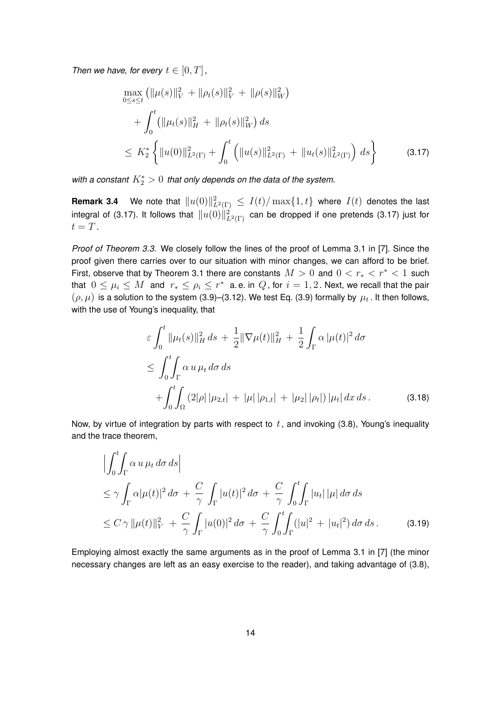*Then we have, for every*  $t \in [0, T]$ ,

$$
\max_{0 \le s \le t} (\|\mu(s)\|_{V}^{2} + \|\rho_{t}(s)\|_{V}^{2} + \|\rho(s)\|_{W}^{2})
$$
  
+ 
$$
\int_{0}^{t} (\|\mu_{t}(s)\|_{H}^{2} + \|\rho_{t}(s)\|_{W}^{2}) ds
$$
  

$$
\le K_{2}^{*} \left\{ \|u(0)\|_{L^{2}(\Gamma)}^{2} + \int_{0}^{t} (\|u(s)\|_{L^{2}(\Gamma)}^{2} + \|u_{t}(s)\|_{L^{2}(\Gamma)}^{2}) ds \right\}
$$
(3.17)

with a constant  $K_2^*>0\,$  that only depends on the data of the system.

**Remark 3.4** We note that  $||u(0)||^2_{L^2(\Gamma)} \leq I(t)/\max\{1,t\}$  where  $I(t)$  denotes the last integral of (3.17). It follows that  $\|u(0)\|_{L^2(\Gamma)}^2$  can be dropped if one pretends (3.17) just for  $t = T$ .

*Proof of Theorem 3.3*. We closely follow the lines of the proof of Lemma 3.1 in [7]. Since the proof given there carries over to our situation with minor changes, we can afford to be brief. First, observe that by Theorem 3.1 there are constants  $M > 0$  and  $0 < r_* < r^* < 1$  such that  $0\leq \mu_i\leq M$  and  $r_*\leq \rho_i\leq r^*$  a.e. in  $Q$ , for  $i=1,2$  . Next, we recall that the pair  $(\rho,\mu)$  is a solution to the system (3.9)–(3.12). We test Eq. (3.9) formally by  $\mu_t$  . It then follows, with the use of Young's inequality, that

$$
\varepsilon \int_0^t \|\mu_t(s)\|_H^2 ds + \frac{1}{2} \|\nabla \mu(t)\|_H^2 + \frac{1}{2} \int_\Gamma \alpha |\mu(t)|^2 d\sigma
$$
  
\n
$$
\leq \int_0^t \int_\Gamma \alpha u \,\mu_t d\sigma ds
$$
  
\n
$$
+ \int_0^t \int_\Omega (2|\rho| |\mu_{2,t}| + |\mu| |\rho_{1,t}| + |\mu_2| |\rho_t|) |\mu_t| dx ds.
$$
 (3.18)

Now, by virtue of integration by parts with respect to  $t$ , and invoking (3.8), Young's inequality and the trace theorem,

$$
\left| \int_0^t \int_{\Gamma} \alpha u \,\mu_t \,d\sigma \,ds \right|
$$
  
\n
$$
\leq \gamma \int_{\Gamma} \alpha |\mu(t)|^2 \,d\sigma + \frac{C}{\gamma} \int_{\Gamma} |u(t)|^2 \,d\sigma + \frac{C}{\gamma} \int_0^t \int_{\Gamma} |u_t| \,|\mu| \,d\sigma \,ds
$$
  
\n
$$
\leq C \gamma \, \|\mu(t)\|_V^2 + \frac{C}{\gamma} \int_{\Gamma} |u(0)|^2 \,d\sigma + \frac{C}{\gamma} \int_0^t \int_{\Gamma} (|u|^2 + |u_t|^2) \,d\sigma \,ds. \tag{3.19}
$$

Employing almost exactly the same arguments as in the proof of Lemma 3.1 in [7] (the minor necessary changes are left as an easy exercise to the reader), and taking advantage of (3.8),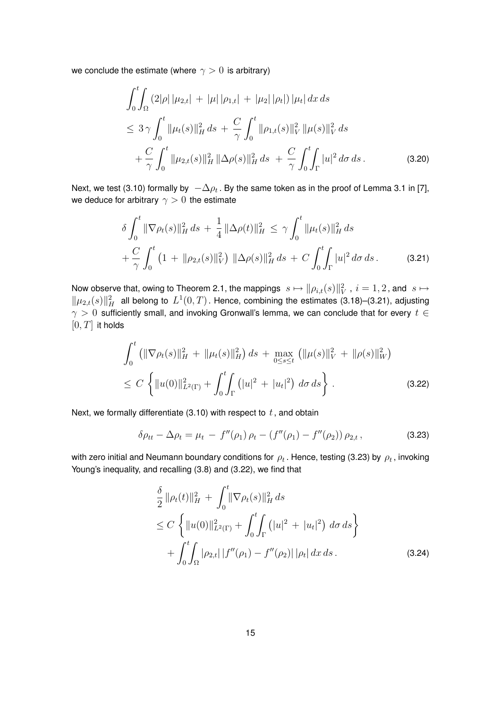we conclude the estimate (where  $\gamma > 0$  is arbitrary)

$$
\int_{0}^{t} \int_{\Omega} (2|\rho| \, |\mu_{2,t}| + |\mu| \, |\rho_{1,t}| + |\mu_2| \, |\rho_t|) \, |\mu_t| \, dx \, ds
$$
\n
$$
\leq 3 \gamma \int_{0}^{t} \|\mu_t(s)\|_{H}^{2} \, ds + \frac{C}{\gamma} \int_{0}^{t} \|\rho_{1,t}(s)\|_{V}^{2} \, \|\mu(s)\|_{V}^{2} \, ds
$$
\n
$$
+ \frac{C}{\gamma} \int_{0}^{t} \|\mu_{2,t}(s)\|_{H}^{2} \, \|\Delta \rho(s)\|_{H}^{2} \, ds + \frac{C}{\gamma} \int_{0}^{t} \int_{\Gamma} |u|^{2} \, d\sigma \, ds \, . \tag{3.20}
$$

Next, we test (3.10) formally by  $\; -\Delta \rho_t$  . By the same token as in the proof of Lemma 3.1 in [7], we deduce for arbitrary  $\gamma > 0$  the estimate

$$
\delta \int_0^t \|\nabla \rho_t(s)\|_H^2 ds + \frac{1}{4} \|\Delta \rho(t)\|_H^2 \le \gamma \int_0^t \|\mu_t(s)\|_H^2 ds + \frac{C}{\gamma} \int_0^t (1 + \|\rho_{2,t}(s)\|_V^2) \|\Delta \rho(s)\|_H^2 ds + C \int_0^t \int_{\Gamma} |u|^2 d\sigma ds.
$$
 (3.21)

Now observe that, owing to Theorem 2.1, the mappings  $\|s\mapsto \|\rho_{i,t}(s)\|_V^2$  ,  $i=1,2$  , and  $\|s\mapsto s\|_V^2$  $\|\mu_{2,t}(s)\|_H^2$  all belong to  $L^1(0,T)$ . Hence, combining the estimates (3.18)–(3.21), adjusting  $\gamma > 0$  sufficiently small, and invoking Gronwall's lemma, we can conclude that for every  $t \in$  $[0, T]$  it holds

$$
\int_0^t \left( \|\nabla \rho_t(s)\|_H^2 + \|\mu_t(s)\|_H^2 \right) ds + \max_{0 \le s \le t} \left( \|\mu(s)\|_V^2 + \|\rho(s)\|_W^2 \right) \le C \left\{ \|\mu(0)\|_{L^2(\Gamma)}^2 + \int_0^t \int_{\Gamma} \left( |u|^2 + |u_t|^2 \right) d\sigma ds \right\}.
$$
\n(3.22)

Next, we formally differentiate (3.10) with respect to  $t$ , and obtain

$$
\delta \rho_{tt} - \Delta \rho_t = \mu_t - f''(\rho_1) \rho_t - (f''(\rho_1) - f''(\rho_2)) \rho_{2,t}, \qquad (3.23)
$$

with zero initial and Neumann boundary conditions for  $\rho_t$  . Hence, testing (3.23) by  $\rho_t$  , invoking Young's inequality, and recalling (3.8) and (3.22), we find that

$$
\frac{\delta}{2} ||\rho_t(t)||_H^2 + \int_0^t ||\nabla \rho_t(s)||_H^2 ds
$$
\n
$$
\leq C \left\{ ||u(0)||_{L^2(\Gamma)}^2 + \int_0^t \int_{\Gamma} (|u|^2 + |u_t|^2) d\sigma ds \right\}
$$
\n
$$
+ \int_0^t \int_{\Omega} |\rho_{2,t}| |f''(\rho_1) - f''(\rho_2)| |\rho_t| dx ds.
$$
\n(3.24)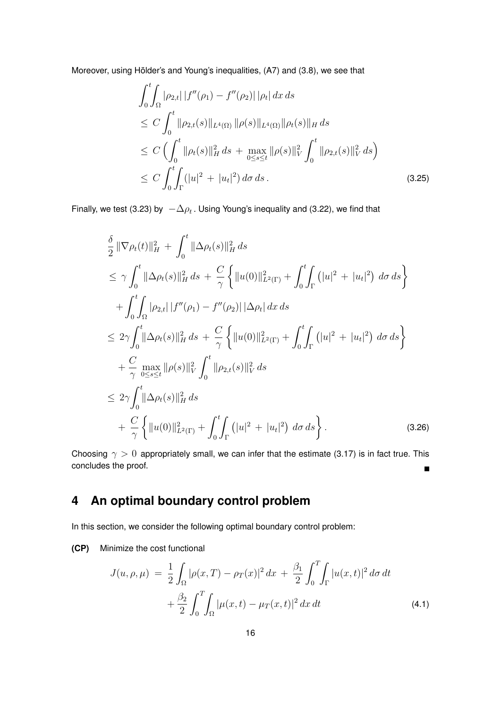Moreover, using Hölder's and Young's inequalities, (A7) and (3.8), we see that

$$
\int_{0}^{t} \int_{\Omega} |\rho_{2,t}| |f''(\rho_{1}) - f''(\rho_{2})| |\rho_{t}| dx ds
$$
\n
$$
\leq C \int_{0}^{t} ||\rho_{2,t}(s)||_{L^{4}(\Omega)} ||\rho(s)||_{L^{4}(\Omega)} ||\rho_{t}(s)||_{H} ds
$$
\n
$$
\leq C \left( \int_{0}^{t} ||\rho_{t}(s)||_{H}^{2} ds + \max_{0 \leq s \leq t} ||\rho(s)||_{V}^{2} \int_{0}^{t} ||\rho_{2,t}(s)||_{V}^{2} ds \right)
$$
\n
$$
\leq C \int_{0}^{t} \int_{\Gamma} (|u|^{2} + |u_{t}|^{2}) d\sigma ds . \qquad (3.25)
$$

Finally, we test (3.23) by  $-\Delta \rho_t$ . Using Young's inequality and (3.22), we find that

$$
\frac{\delta}{2} \|\nabla \rho_t(t)\|_H^2 + \int_0^t \|\Delta \rho_t(s)\|_H^2 ds \n\leq \gamma \int_0^t \|\Delta \rho_t(s)\|_H^2 ds + \frac{C}{\gamma} \left\{ \|u(0)\|_{L^2(\Gamma)}^2 + \int_0^t \int_{\Gamma} (|u|^2 + |u_t|^2) d\sigma ds \right\} \n+ \int_0^t \int_{\Omega} |\rho_{2,t}| |f''(\rho_1) - f''(\rho_2)| |\Delta \rho_t| dx ds \n\leq 2\gamma \int_0^t \|\Delta \rho_t(s)\|_H^2 ds + \frac{C}{\gamma} \left\{ \|u(0)\|_{L^2(\Gamma)}^2 + \int_0^t \int_{\Gamma} (|u|^2 + |u_t|^2) d\sigma ds \right\} \n+ \frac{C}{\gamma} \max_{0 \leq s \leq t} \|\rho(s)\|_V^2 \int_0^t \|\rho_{2,t}(s)\|_V^2 ds \n\leq 2\gamma \int_0^t \|\Delta \rho_t(s)\|_H^2 ds \n+ \frac{C}{\gamma} \left\{ \|\mu(0)\|_{L^2(\Gamma)}^2 + \int_0^t \int_{\Gamma} (|u|^2 + |u_t|^2) d\sigma ds \right\}.
$$
\n(3.26)

Choosing  $\gamma > 0$  appropriately small, we can infer that the estimate (3.17) is in fact true. This concludes the proof.  $\blacksquare$ 

### **4 An optimal boundary control problem**

In this section, we consider the following optimal boundary control problem:

**(CP)** Minimize the cost functional

$$
J(u, \rho, \mu) = \frac{1}{2} \int_{\Omega} |\rho(x, T) - \rho_T(x)|^2 dx + \frac{\beta_1}{2} \int_0^T \int_{\Gamma} |u(x, t)|^2 d\sigma dt
$$
  
+ 
$$
\frac{\beta_2}{2} \int_0^T \int_{\Omega} |\mu(x, t) - \mu_T(x, t)|^2 dx dt
$$
(4.1)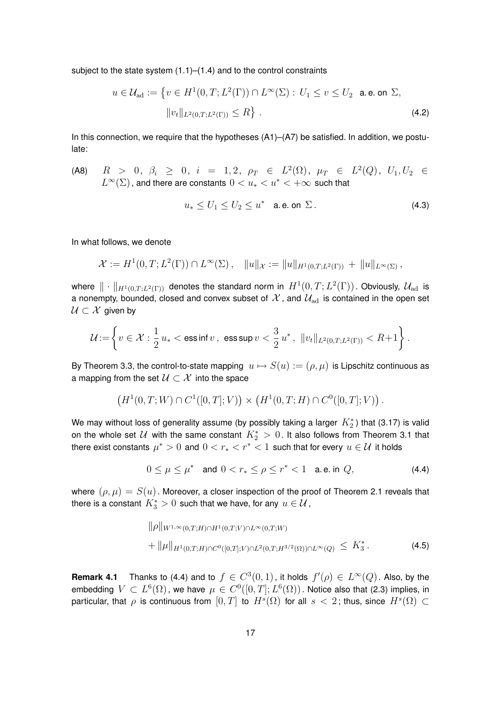subject to the state system (1.1)–(1.4) and to the control constraints

$$
u \in \mathcal{U}_{ad} := \{ v \in H^1(0, T; L^2(\Gamma)) \cap L^{\infty}(\Sigma) : U_1 \le v \le U_2 \text{ a.e. on } \Sigma,
$$
  

$$
||v_t||_{L^2(0, T; L^2(\Gamma))} \le R \}.
$$
 (4.2)

In this connection, we require that the hypotheses  $(A1)$ – $(A7)$  be satisfied. In addition, we postulate:

(A8)  $R$  > 0,  $\beta_i$   $\geq$  0,  $i$  = 1, 2,  $\rho_T$   $\in$   $L^2(\Omega)$ ,  $\mu_T$   $\in$   $L^2(Q)$ ,  $U_1, U_2$   $\in$  $L^\infty(\Sigma)$  , and there are constants  $0 < u_* < u^* < +\infty$  such that

$$
u_* \le U_1 \le U_2 \le u^* \quad \text{a.e. on } \Sigma \,. \tag{4.3}
$$

In what follows, we denote

$$
\mathcal{X} := H^1(0,T;L^2(\Gamma)) \cap L^{\infty}(\Sigma), \quad ||u||_{\mathcal{X}} := ||u||_{H^1(0,T;L^2(\Gamma))} + ||u||_{L^{\infty}(\Sigma)},
$$

where  $\|\cdot\|_{H^1(0,T;L^2(\Gamma))}$  denotes the standard norm in  $H^1(0,T;L^2(\Gamma))$ . Obviously,  $\mathcal{U}_{\rm ad}$  is a nonempty, bounded, closed and convex subset of  $\mathcal{X}$ , and  $\mathcal{U}_{\text{ad}}$  is contained in the open set  $U \subset \mathcal{X}$  given by

$$
\mathcal{U}\!:=\!\left\{v\in \mathcal{X}:\frac{1}{2}\,u_*<\text{ess}\inf v\,,\,\,\text{ess}\sup v<\frac{3}{2}\,u^*\,,\,\,\|v_t\|_{L^2(0,T;L^2(\Gamma))}
$$

By Theorem 3.3, the control-to-state mapping  $u \mapsto S(u) := (\rho, \mu)$  is Lipschitz continuous as a mapping from the set  $\mathcal{U} \subset \mathcal{X}$  into the space

$$
(H^1(0,T;W) \cap C^1([0,T];V)) \times (H^1(0,T;H) \cap C^0([0,T];V)).
$$

We may without loss of generality assume (by possibly taking a larger  $\,K^*_2$ ) that (3.17) is valid on the whole set  ${\cal U}$  with the same constant  $K_2^*>0.$  It also follows from Theorem 3.1 that there exist constants  $\mu^* > 0$  and  $0 < r_* < r^* < 1$  such that for every  $u \in \mathcal{U}$  it holds

$$
0 \le \mu \le \mu^* \quad \text{and} \quad 0 < r_* \le \rho \le r^* < 1 \quad \text{a.e. in } Q,\tag{4.4}
$$

where  $(\rho, \mu) = S(u)$ . Moreover, a closer inspection of the proof of Theorem 2.1 reveals that there is a constant  $\overline{K_3^*}>0$  such that we have, for any  $u\in\mathcal{U}$  ,

$$
\|\rho\|_{W^{1,\infty}(0,T;H)\cap H^1(0,T;V)\cap L^{\infty}(0,T;W)}
$$
  
+ 
$$
\|\mu\|_{H^1(0,T;H)\cap C^0([0,T];V)\cap L^2(0,T;H^{3/2}(\Omega))\cap L^{\infty}(Q)} \leq K_3^*.
$$
 (4.5)

**Remark 4.1** Thanks to (4.4) and to  $f \in C^3(0,1)$ , it holds  $f'(\rho) \in L^\infty(Q)$ . Also, by the embedding  $\,V\,\subset\, L^6(\Omega)$  , we have  $\,\mu\,\in\,C^0([0,T];L^6(\Omega))$  . Notice also that (2.3) implies, in particular, that  $\rho$  is continuous from  $[0,T]$  to  $H^s(\Omega)$  for all  $s < 2$ ; thus, since  $H^s(\Omega) \subset$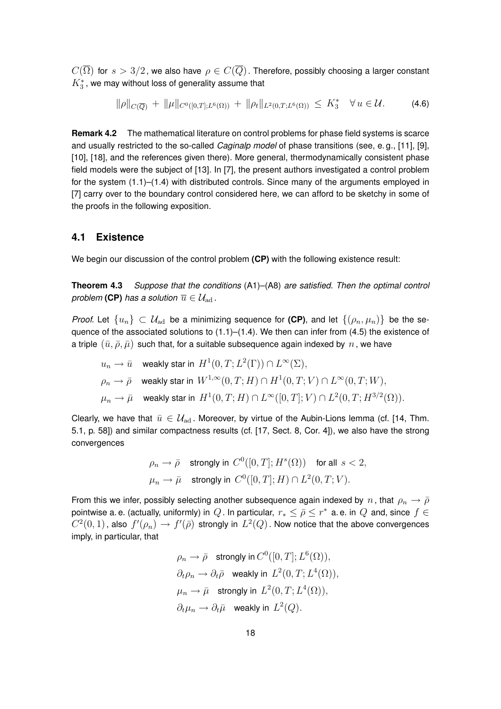$C(\overline{\Omega})$  for  $s > 3/2$ , we also have  $\rho \in C(\overline{Q})$ . Therefore, possibly choosing a larger constant  $K^{\ast}_3$  , we may without loss of generality assume that

$$
\|\rho\|_{C(\overline{Q})} + \|\mu\|_{C^{0}([0,T];L^{6}(\Omega))} + \|\rho_t\|_{L^{2}(0,T;L^{6}(\Omega))} \leq K_3^* \quad \forall u \in \mathcal{U}.
$$
 (4.6)

**Remark 4.2** The mathematical literature on control problems for phase field systems is scarce and usually restricted to the so-called *Caginalp model* of phase transitions (see, e. g., [11], [9], [10], [18], and the references given there). More general, thermodynamically consistent phase field models were the subject of [13]. In [7], the present authors investigated a control problem for the system  $(1.1)$ – $(1.4)$  with distributed controls. Since many of the arguments employed in [7] carry over to the boundary control considered here, we can afford to be sketchy in some of the proofs in the following exposition.

### **4.1 Existence**

We begin our discussion of the control problem **(CP)** with the following existence result:

**Theorem 4.3** *Suppose that the conditions* (A1)–(A8) *are satisfied. Then the optimal control problem* (CP) *has a solution*  $\overline{u} \in \mathcal{U}_{ad}$ .

*Proof.* Let  $\{u_n\} \subset \mathcal{U}_{ad}$  be a minimizing sequence for (CP), and let  $\{(\rho_n, \mu_n)\}\$ be the sequence of the associated solutions to  $(1.1)$ – $(1.4)$ . We then can infer from  $(4.5)$  the existence of a triple  $(\bar{u}, \bar{\rho}, \bar{\mu})$  such that, for a suitable subsequence again indexed by  $n$ , we have

 $u_n \to \bar u \quad$  weakly star in  $\,H^1(0,T;L^2(\Gamma))\cap L^\infty(\Sigma),$  $\rho_n \to \bar\rho \quad$  weakly star in  $\,W^{1,\infty}(0,T;H)\cap H^1(0,T;V)\cap L^\infty(0,T;W),$  $\mu_n \rightarrow \bar{\mu} \quad$  weakly star in  $\,H^1(0,T;H)\cap L^\infty([0,T];V)\cap L^2(0,T;H^{3/2}(\Omega)).$ 

Clearly, we have that  $\bar{u} \in \mathcal{U}_{ad}$ . Moreover, by virtue of the Aubin-Lions lemma (cf. [14, Thm. 5.1, p. 58]) and similar compactness results (cf. [17, Sect. 8, Cor. 4]), we also have the strong convergences

$$
\rho_n \to \bar{\rho} \quad \text{strongly in } C^0([0,T];H^s(\Omega)) \quad \text{for all } s < 2,
$$
  

$$
\mu_n \to \bar{\mu} \quad \text{strongly in } C^0([0,T];H) \cap L^2(0,T;V).
$$

From this we infer, possibly selecting another subsequence again indexed by n, that  $\rho_n \to \bar{\rho}$ pointwise a. e. (actually, uniformly) in  $\,Q$  . In particular,  $\,r_*\leq\bar\rho\leq r^* \,$  a. e. in  $\,Q\,$  and, since  $\,f\in\,$  $C^2(0,1)$  , also  $\,f'(\rho_n)\to f'(\bar\rho)\,$  strongly in  $\,L^2(Q)$  . Now notice that the above convergences imply, in particular, that

$$
\rho_n \to \bar{\rho} \quad \text{strongly in } C^0([0, T]; L^6(\Omega)),
$$
  
\n
$$
\partial_t \rho_n \to \partial_t \bar{\rho} \quad \text{weakly in } L^2(0, T; L^4(\Omega)),
$$
  
\n
$$
\mu_n \to \bar{\mu} \quad \text{strongly in } L^2(0, T; L^4(\Omega)),
$$
  
\n
$$
\partial_t \mu_n \to \partial_t \bar{\mu} \quad \text{weakly in } L^2(Q).
$$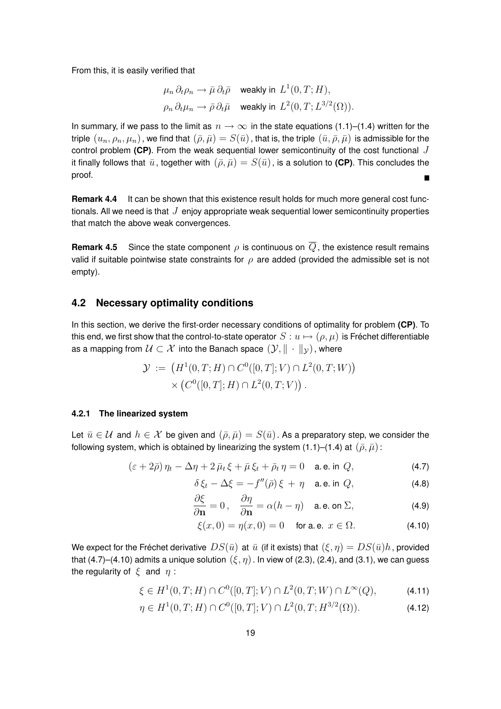From this, it is easily verified that

$$
\mu_n \, \partial_t \rho_n \to \bar{\mu} \, \partial_t \bar{\rho} \quad \text{weakly in } L^1(0, T; H),
$$
  

$$
\rho_n \, \partial_t \mu_n \to \bar{\rho} \, \partial_t \bar{\mu} \quad \text{weakly in } L^2(0, T; L^{3/2}(\Omega)).
$$

In summary, if we pass to the limit as  $n \to \infty$  in the state equations (1.1)–(1.4) written for the triple  $(u_n, \rho_n, \mu_n)$ , we find that  $(\bar{\rho}, \bar{\mu}) = S(\bar{u})$ , that is, the triple  $(\bar{u}, \bar{\rho}, \bar{\mu})$  is admissible for the control problem (CP). From the weak sequential lower semicontinuity of the cost functional J it finally follows that  $\bar{u}$ , together with  $(\bar{\rho}, \bar{\mu}) = S(\bar{u})$ , is a solution to **(CP)**. This concludes the proof.  $\blacksquare$ 

**Remark 4.4** It can be shown that this existence result holds for much more general cost functionals. All we need is that  $J$  enjoy appropriate weak sequential lower semicontinuity properties that match the above weak convergences.

**Remark 4.5** Since the state component  $\rho$  is continuous on  $\overline{Q}$ , the existence result remains valid if suitable pointwise state constraints for  $\rho$  are added (provided the admissible set is not empty).

### **4.2 Necessary optimality conditions**

In this section, we derive the first-order necessary conditions of optimality for problem **(CP)**. To this end, we first show that the control-to-state operator  $S: u \mapsto (\rho, \mu)$  is Fréchet differentiable as a mapping from  $\mathcal{U} \subset \mathcal{X}$  into the Banach space  $(\mathcal{Y}, \|\cdot\|_{\mathcal{Y}})$ , where

$$
\mathcal{Y} := (H^1(0,T;H) \cap C^0([0,T];V) \cap L^2(0,T;W))
$$
  
 
$$
\times (C^0([0,T];H) \cap L^2(0,T;V)).
$$

#### **4.2.1 The linearized system**

Let  $\bar{u} \in \mathcal{U}$  and  $h \in \mathcal{X}$  be given and  $(\bar{\rho}, \bar{\mu}) = S(\bar{u})$ . As a preparatory step, we consider the following system, which is obtained by linearizing the system (1.1)–(1.4) at  $(\bar{\rho}, \bar{\mu})$ :

$$
(\varepsilon + 2\bar{\rho})\,\eta_t - \Delta \eta + 2\,\bar{\mu}_t\,\xi + \bar{\mu}\,\xi_t + \bar{\rho}_t\,\eta = 0 \quad \text{a.e. in } Q,\tag{4.7}
$$

$$
\delta \xi_t - \Delta \xi = -f''(\bar{\rho}) \xi + \eta \quad \text{a.e. in } Q,
$$
\n(4.8)

$$
\frac{\partial \xi}{\partial \mathbf{n}} = 0, \quad \frac{\partial \eta}{\partial \mathbf{n}} = \alpha (h - \eta) \quad \text{a.e. on } \Sigma,
$$
 (4.9)

$$
\xi(x,0) = \eta(x,0) = 0 \quad \text{ for a. e. } x \in \Omega. \tag{4.10}
$$

We expect for the Fréchet derivative  $DS(\bar{u})$  at  $\bar{u}$  (if it exists) that  $(\xi, \eta) = DS(\bar{u})h$ , provided that (4.7)–(4.10) admits a unique solution  $(\xi, \eta)$ . In view of (2.3), (2.4), and (3.1), we can guess the regularity of  $\xi$  and  $\eta$ :

$$
\xi \in H^1(0, T; H) \cap C^0([0, T]; V) \cap L^2(0, T; W) \cap L^{\infty}(Q), \tag{4.11}
$$

$$
\eta \in H^1(0, T; H) \cap C^0([0, T]; V) \cap L^2(0, T; H^{3/2}(\Omega)). \tag{4.12}
$$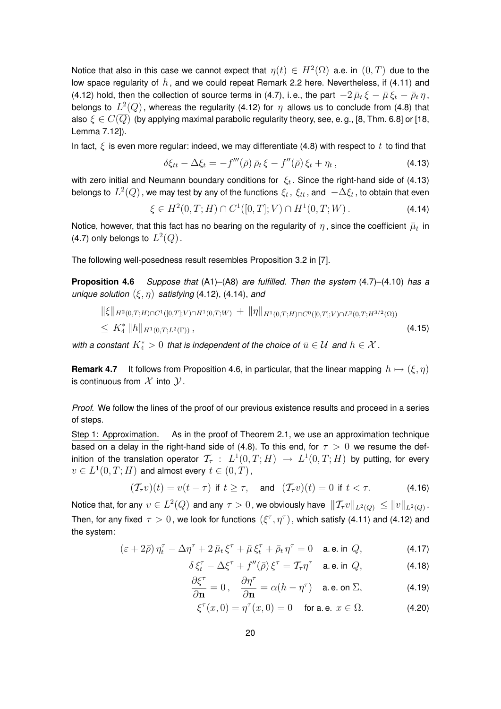Notice that also in this case we cannot expect that  $\eta(t)\in H^2(\Omega)$  a.e. in  $(0,T)$  due to the low space regularity of  $h$ , and we could repeat Remark 2.2 here. Nevertheless, if (4.11) and (4.12) hold, then the collection of source terms in (4.7), i.e., the part  $-2\bar{\mu}_t \xi - \bar{\mu} \xi_t - \bar{\rho}_t \eta$ , belongs to  $L^2(Q)$  , whereas the regularity (4.12) for  $\eta$  allows us to conclude from (4.8) that also  $\xi\in C(\overline{Q})$  (by applying maximal parabolic regularity theory, see, e.g., [8, Thm. 6.8] or [18, Lemma 7.12]).

In fact,  $\xi$  is even more regular: indeed, we may differentiate (4.8) with respect to t to find that

$$
\delta \xi_{tt} - \Delta \xi_t = -f'''(\bar{\rho}) \,\bar{\rho}_t \,\xi - f''(\bar{\rho}) \,\xi_t + \eta_t \,, \tag{4.13}
$$

with zero initial and Neumann boundary conditions for  $\xi_t$ . Since the right-hand side of (4.13) belongs to  $L^2(Q)$  , we may test by any of the functions  $\xi_t$  ,  $\xi_{tt}$  , and  $\; -\Delta \xi_t$  , to obtain that even

$$
\xi \in H^2(0, T; H) \cap C^1([0, T]; V) \cap H^1(0, T; W).
$$
\n(4.14)

Notice, however, that this fact has no bearing on the regularity of  $\eta$  , since the coefficient  $\bar{\mu}_t$  in (4.7) only belongs to  $L^2(Q)$ .

The following well-posedness result resembles Proposition 3.2 in [7].

**Proposition 4.6** *Suppose that* (A1)–(A8) *are fulfilled. Then the system* (4.7)–(4.10) *has a unique solution*  $(\xi, \eta)$  *satisfying* (4.12), (4.14), *and* 

$$
\|\xi\|_{H^2(0,T;H)\cap C^1([0,T];V)\cap H^1(0,T;W)} + \|\eta\|_{H^1(0,T;H)\cap C^0([0,T];V)\cap L^2(0,T;H^{3/2}(\Omega))}
$$
  
\$\leq K\_4^\* \|h\|\_{H^1(0,T;L^2(\Gamma))}, \qquad (4.15)\$

*with a constant*  $K_4^* > 0$  *that is independent of the choice of*  $\bar{u} \in \mathcal{U}$  *and*  $h \in \mathcal{X}$  *.* 

**Remark 4.7** It follows from Proposition 4.6, in particular, that the linear mapping  $h \mapsto (\xi, \eta)$ is continuous from  $\mathcal X$  into  $\mathcal Y$ .

*Proof.* We follow the lines of the proof of our previous existence results and proceed in a series of steps.

Step 1: Approximation. As in the proof of Theorem 2.1, we use an approximation technique based on a delay in the right-hand side of (4.8). To this end, for  $\tau > 0$  we resume the definition of the translation operator  $\,\mathcal{T}_{\tau}\,:\,\,L^1(0,T;H)\,\,\rightarrow\, L^1(0,T;H)\,$  by putting, for every  $v\in L^1(0,T;H)$  and almost every  $t\in (0,T)$  ,

$$
(\mathcal{T}_{\tau}v)(t) = v(t - \tau) \text{ if } t \ge \tau, \quad \text{and} \quad (\mathcal{T}_{\tau}v)(t) = 0 \text{ if } t < \tau. \tag{4.16}
$$

Notice that, for any  $v\in L^2(Q)$  and any  $\tau>0$  , we obviously have  $\ \Vert \mathcal{T}_{\tau}v\Vert_{L^2(Q)}\leq \Vert v\Vert_{L^2(Q)}$  . Then, for any fixed  $\tau > 0$ , we look for functions  $(\xi^\tau, \eta^\tau)$ , which satisfy (4.11) and (4.12) and the system:

$$
\left(\varepsilon+2\bar{\rho}\right)\eta_t^{\tau}-\Delta\eta^{\tau}+2\,\bar{\mu}_t\,\xi^{\tau}+\bar{\mu}\,\xi_t^{\tau}+\bar{\rho}_t\,\eta^{\tau}=0\quad\text{a.e. in }Q,\tag{4.17}
$$

$$
\delta \xi_t^{\tau} - \Delta \xi^{\tau} + f''(\bar{\rho}) \xi^{\tau} = \mathcal{T}_{\tau} \eta^{\tau} \quad \text{a.e. in } Q,
$$
\n(4.18)

$$
\frac{\partial \xi^{\tau}}{\partial \mathbf{n}} = 0, \quad \frac{\partial \eta^{\tau}}{\partial \mathbf{n}} = \alpha (h - \eta^{\tau}) \quad \text{a.e. on } \Sigma,
$$
 (4.19)

$$
\xi^{\tau}(x,0) = \eta^{\tau}(x,0) = 0 \quad \text{ for a. e. } x \in \Omega.
$$
 (4.20)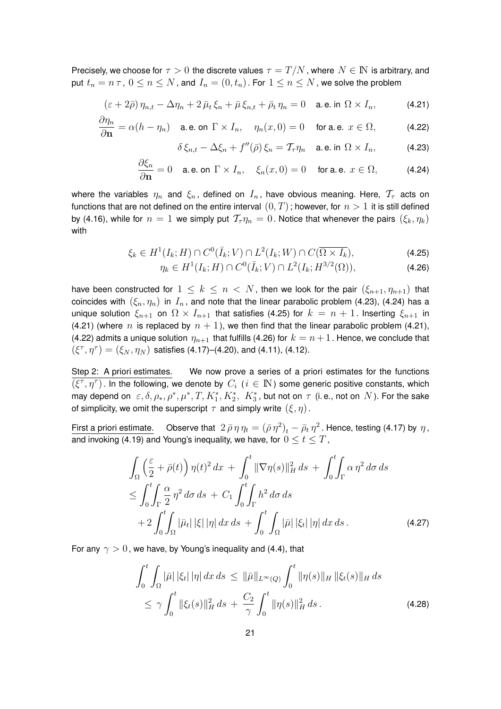Precisely, we choose for  $\tau > 0$  the discrete values  $\tau = T/N$ , where  $N \in \mathbb{N}$  is arbitrary, and put  $t_n = n \tau$ ,  $0 \le n \le N$ , and  $I_n = (0, t_n)$ . For  $1 \le n \le N$ , we solve the problem

$$
\left(\varepsilon+2\bar{\rho}\right)\eta_{n,t}-\Delta\eta_n+2\,\bar{\mu}_t\,\xi_n+\bar{\mu}\,\xi_{n,t}+\bar{\rho}_t\,\eta_n=0\quad\text{a.e. in }\Omega\times I_n,\tag{4.21}
$$

$$
\frac{\partial \eta_n}{\partial \mathbf{n}} = \alpha (h - \eta_n) \quad \text{a.e. on } \Gamma \times I_n, \quad \eta_n(x, 0) = 0 \quad \text{ for a.e. } x \in \Omega, \tag{4.22}
$$

$$
\delta \xi_{n,t} - \Delta \xi_n + f''(\bar{\rho}) \xi_n = \mathcal{T}_{\tau} \eta_n \quad \text{a.e. in } \Omega \times I_n,
$$
 (4.23)

$$
\frac{\partial \xi_n}{\partial \mathbf{n}} = 0 \quad \text{a.e. on } \Gamma \times I_n, \quad \xi_n(x,0) = 0 \quad \text{ for a.e. } x \in \Omega, \tag{4.24}
$$

where the variables  $\eta_n$  and  $\xi_n$ , defined on  $I_n$ , have obvious meaning. Here,  $\mathcal{T}_{\tau}$  acts on functions that are not defined on the entire interval  $(0, T)$ ; however, for  $n > 1$  it is still defined by (4.16), while for  $n = 1$  we simply put  $\mathcal{T}_{\tau} \eta_n = 0$ . Notice that whenever the pairs  $(\xi_k, \eta_k)$ with

$$
\xi_k \in H^1(I_k; H) \cap C^0(\bar{I}_k; V) \cap L^2(I_k; W) \cap C(\overline{\Omega \times I_k}),\tag{4.25}
$$

$$
\eta_k \in H^1(I_k; H) \cap C^0(\bar{I}_k; V) \cap L^2(I_k; H^{3/2}(\Omega)), \tag{4.26}
$$

have been constructed for  $1 \leq k \leq n \lt N$ , then we look for the pair  $(\xi_{n+1}, \eta_{n+1})$  that coincides with  $(\xi_n, \eta_n)$  in  $I_n$ , and note that the linear parabolic problem (4.23), (4.24) has a unique solution  $\xi_{n+1}$  on  $\Omega \times I_{n+1}$  that satisfies (4.25) for  $k = n+1$ . Inserting  $\xi_{n+1}$  in (4.21) (where n is replaced by  $n + 1$ ), we then find that the linear parabolic problem (4.21), (4.22) admits a unique solution  $\eta_{n+1}$  that fulfills (4.26) for  $k = n+1$ . Hence, we conclude that  $(\xi^{\tau}, \eta^{\tau}) = (\xi_N, \eta_N)$  satisfies (4.17)–(4.20), and (4.11), (4.12).

Step 2: A priori estimates. We now prove a series of a priori estimates for the functions  $\overline{(\xi^\tau,\eta^\tau)}$ . In the following, we denote by  $\,C_i \,$  ( $i \in \, \mathbb N$ ) some generic positive constants, which may depend on  $\;\varepsilon,\delta,\rho_*,\rho^*,\mu^*,T,K_1^*,K_2^*,\;K_3^*,$  but not on  $\tau$  (i.e., not on  $\,N$ ). For the sake of simplicity, we omit the superscript  $\tau$  and simply write  $(\xi, \eta)$ .

First a priori estimate. Observe that  $2 \bar{p} \eta \eta_t = (\bar{p} \eta^2)_t - \bar{\rho}_t \eta^2$ . Hence, testing (4.17) by  $\eta$ , and invoking (4.19) and Young's inequality, we have, for  $0 \le t \le T$ ,

$$
\int_{\Omega} \left( \frac{\varepsilon}{2} + \bar{\rho}(t) \right) \eta(t)^{2} dx + \int_{0}^{t} \|\nabla \eta(s)\|_{H}^{2} ds + \int_{0}^{t} \int_{\Gamma} \alpha \eta^{2} d\sigma ds
$$
\n
$$
\leq \int_{0}^{t} \int_{\Gamma} \frac{\alpha}{2} \eta^{2} d\sigma ds + C_{1} \int_{0}^{t} \int_{\Gamma} h^{2} d\sigma ds
$$
\n
$$
+ 2 \int_{0}^{t} \int_{\Omega} |\bar{\mu}_{t}| |\xi| |\eta| dx ds + \int_{0}^{t} \int_{\Omega} |\bar{\mu}| |\xi_{t}| |\eta| dx ds. \tag{4.27}
$$

For any  $\gamma > 0$ , we have, by Young's inequality and (4.4), that

$$
\int_0^t \int_{\Omega} |\bar{\mu}| |\xi_t| \, |\eta| \, dx \, ds \leq \|\bar{\mu}\|_{L^{\infty}(Q)} \int_0^t \|\eta(s)\|_{H} \, \|\xi_t(s)\|_{H} \, ds \leq \gamma \int_0^t \|\xi_t(s)\|_{H}^2 \, ds + \frac{C_2}{\gamma} \int_0^t \|\eta(s)\|_{H}^2 \, ds .
$$
\n(4.28)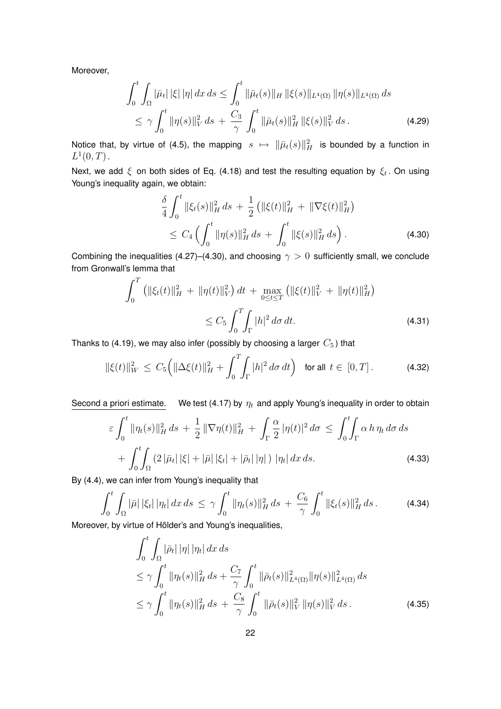Moreover,

$$
\int_0^t \int_{\Omega} |\bar{\mu}_t| |\xi| |\eta| dx ds \le \int_0^t \|\bar{\mu}_t(s)\|_{H} \| \xi(s) \|_{L^4(\Omega)} \|\eta(s)\|_{L^4(\Omega)} ds
$$
  

$$
\le \gamma \int_0^t \|\eta(s)\|_{V}^2 ds + \frac{C_3}{\gamma} \int_0^t \|\bar{\mu}_t(s)\|_{H}^2 \|\xi(s)\|_{V}^2 ds.
$$
 (4.29)

Notice that, by virtue of (4.5), the mapping  $s\ \mapsto\ \| \bar\mu_t(s) \|_H^2$  is bounded by a function in  $L^1(0,T)$ .

Next, we add  $\xi$  on both sides of Eq. (4.18) and test the resulting equation by  $\xi_t$ . On using Young's inequality again, we obtain:

$$
\frac{\delta}{4} \int_0^t \|\xi_t(s)\|_H^2 ds + \frac{1}{2} \left( \|\xi(t)\|_H^2 + \|\nabla \xi(t)\|_H^2 \right) \n\le C_4 \left( \int_0^t \|\eta(s)\|_H^2 ds + \int_0^t \|\xi(s)\|_H^2 ds \right).
$$
\n(4.30)

Combining the inequalities (4.27)–(4.30), and choosing  $\gamma > 0$  sufficiently small, we conclude from Gronwall's lemma that

$$
\int_0^T \left( ||\xi_t(t)||_H^2 + ||\eta(t)||_V^2 \right) dt + \max_{0 \le t \le T} \left( ||\xi(t)||_V^2 + ||\eta(t)||_H^2 \right)
$$
  
 
$$
\le C_5 \int_0^T \int_{\Gamma} |h|^2 d\sigma dt.
$$
 (4.31)

Thanks to (4.19), we may also infer (possibly by choosing a larger  $C_5$ ) that

$$
\|\xi(t)\|_{W}^{2} \leq C_{5} \Big( \|\Delta \xi(t)\|_{H}^{2} + \int_{0}^{T} \int_{\Gamma} |h|^{2} d\sigma dt \Big) \quad \text{for all } t \in [0, T]. \tag{4.32}
$$

Second a priori estimate. We test (4.17) by  $\eta_t$  and apply Young's inequality in order to obtain

$$
\varepsilon \int_0^t \|\eta_t(s)\|_H^2 ds + \frac{1}{2} \|\nabla \eta(t)\|_H^2 + \int_\Gamma \frac{\alpha}{2} |\eta(t)|^2 d\sigma \le \int_0^t \int_\Gamma \alpha \, h \, \eta_t \, d\sigma \, ds + \int_0^t \int_\Omega (2 \, |\bar{\mu}_t| \, |\xi| + |\bar{\mu}| \, |\xi_t| + |\bar{\rho}_t| \, |\eta|) \, |\eta_t| \, dx \, ds. \tag{4.33}
$$

By (4.4), we can infer from Young's inequality that

$$
\int_0^t \int_{\Omega} |\bar{\mu}| \, |\xi_t| \, |\eta_t| \, dx \, ds \leq \gamma \int_0^t \|\eta_t(s)\|_H^2 \, ds + \frac{C_6}{\gamma} \int_0^t \|\xi_t(s)\|_H^2 \, ds \,. \tag{4.34}
$$

Moreover, by virtue of Hölder's and Young's inequalities,

$$
\int_{0}^{t} \int_{\Omega} |\bar{\rho}_{t}| |\eta| |\eta_{t}| dx ds
$$
\n
$$
\leq \gamma \int_{0}^{t} ||\eta_{t}(s)||_{H}^{2} ds + \frac{C_{7}}{\gamma} \int_{0}^{t} ||\bar{\rho}_{t}(s)||_{L^{4}(\Omega)}^{2} ||\eta(s)||_{L^{4}(\Omega)}^{2} ds
$$
\n
$$
\leq \gamma \int_{0}^{t} ||\eta_{t}(s)||_{H}^{2} ds + \frac{C_{8}}{\gamma} \int_{0}^{t} ||\bar{\rho}_{t}(s)||_{V}^{2} ||\eta(s)||_{V}^{2} ds.
$$
\n(4.35)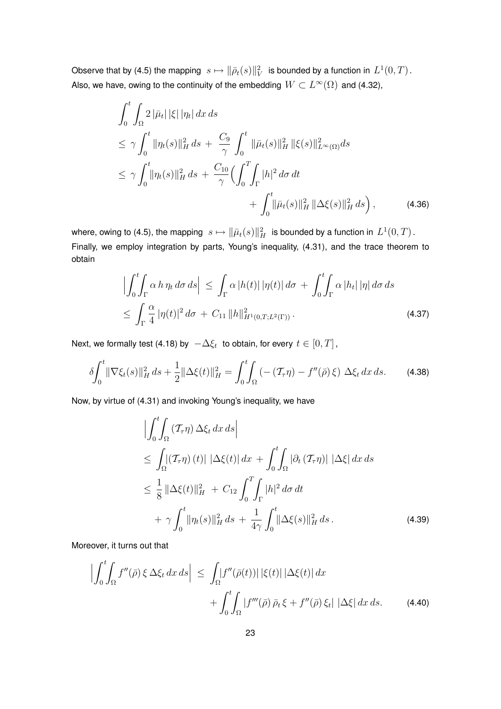Observe that by (4.5) the mapping  $\|s\mapsto \|\bar\rho_t(s)\|_V^2\|$  is bounded by a function in  $L^1(0,T)$  . Also, we have, owing to the continuity of the embedding  $W\subset L^\infty(\Omega)$  and (4.32),

$$
\int_{0}^{t} \int_{\Omega} 2 |\bar{\mu}_{t}| |\xi| |\eta_{t}| dx ds
$$
\n
$$
\leq \gamma \int_{0}^{t} ||\eta_{t}(s)||_{H}^{2} ds + \frac{C_{9}}{\gamma} \int_{0}^{t} ||\bar{\mu}_{t}(s)||_{H}^{2} ||\xi(s)||_{L^{\infty}(\Omega)}^{2} ds
$$
\n
$$
\leq \gamma \int_{0}^{t} ||\eta_{t}(s)||_{H}^{2} ds + \frac{C_{10}}{\gamma} \Big( \int_{0}^{T} \int_{\Gamma} |h|^{2} d\sigma dt + \int_{0}^{t} ||\bar{\mu}_{t}(s)||_{H}^{2} ||\Delta \xi(s)||_{H}^{2} ds \Big), \qquad (4.36)
$$

where, owing to (4.5), the mapping  $\|s\mapsto \|\bar\mu_t(s)\|_H^2\|$  is bounded by a function in  $L^1(0,T)$  . Finally, we employ integration by parts, Young's inequality, (4.31), and the trace theorem to obtain

$$
\left| \int_0^t \int_{\Gamma} \alpha \, h \, \eta_t \, d\sigma \, ds \right| \leq \int_{\Gamma} \alpha \left| h(t) \right| \left| \eta(t) \right| d\sigma + \int_0^t \int_{\Gamma} \alpha \left| h_t \right| \left| \eta \right| d\sigma \, ds
$$
  

$$
\leq \int_{\Gamma} \frac{\alpha}{4} \left| \eta(t) \right|^2 d\sigma + C_{11} \left\| h \right\|_{H^1(0,T;L^2(\Gamma))}^2.
$$
 (4.37)

Next, we formally test (4.18) by  $\; -\Delta \xi_t \;$  to obtain, for every  $\,t\in [0,T]$  ,

$$
\delta \int_0^t \|\nabla \xi_t(s)\|_H^2 ds + \frac{1}{2} \|\Delta \xi(t)\|_H^2 = \int_0^t \int_{\Omega} \left( -(\mathcal{T}_\tau \eta) - f''(\bar{\rho}) \xi \right) \Delta \xi_t \, dx \, ds. \tag{4.38}
$$

Now, by virtue of (4.31) and invoking Young's inequality, we have

$$
\left| \int_{0}^{t} \int_{\Omega} \left( T_{\tau} \eta \right) \Delta \xi_{t} dx ds \right|
$$
\n
$$
\leq \int_{\Omega} \left| \left( T_{\tau} \eta \right) (t) \right| \left| \Delta \xi(t) \right| dx + \int_{0}^{t} \int_{\Omega} \left| \partial_{t} \left( T_{\tau} \eta \right) \right| \left| \Delta \xi \right| dx ds
$$
\n
$$
\leq \frac{1}{8} \left\| \Delta \xi(t) \right\|_{H}^{2} + C_{12} \int_{0}^{T} \int_{\Gamma} |h|^{2} d\sigma dt
$$
\n
$$
+ \gamma \int_{0}^{t} \left\| \eta_{t}(s) \right\|_{H}^{2} ds + \frac{1}{4\gamma} \int_{0}^{t} \left\| \Delta \xi(s) \right\|_{H}^{2} ds. \tag{4.39}
$$

Moreover, it turns out that

$$
\left| \int_0^t \int_{\Omega} f''(\bar{\rho}) \xi \Delta \xi_t \, dx \, ds \right| \leq \int_{\Omega} \left| f''(\bar{\rho}(t)) \right| |\xi(t)| \left| \Delta \xi(t) \right| dx + \int_0^t \int_{\Omega} \left| f'''(\bar{\rho}) \, \bar{\rho}_t \, \xi + f''(\bar{\rho}) \, \xi_t \right| \left| \Delta \xi \right| dx \, ds. \tag{4.40}
$$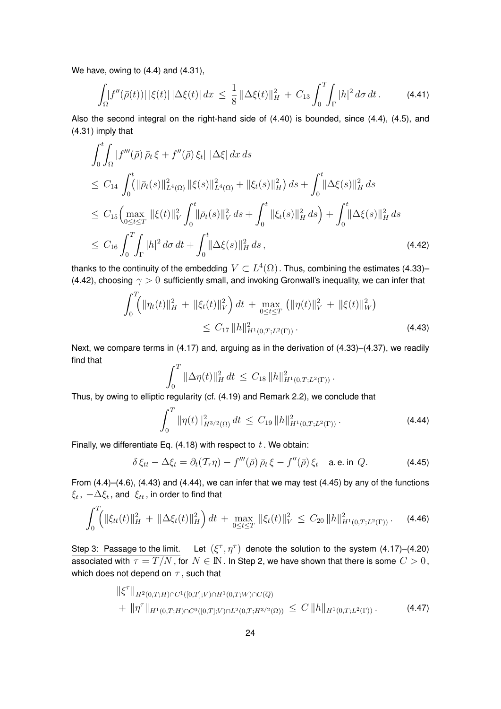We have, owing to (4.4) and (4.31),

$$
\int_{\Omega} |f''(\bar{\rho}(t))| |\xi(t)| |\Delta \xi(t)| dx \leq \frac{1}{8} ||\Delta \xi(t)||_{H}^{2} + C_{13} \int_{0}^{T} \int_{\Gamma} |h|^{2} d\sigma dt.
$$
 (4.41)

Also the second integral on the right-hand side of (4.40) is bounded, since (4.4), (4.5), and (4.31) imply that

$$
\int_{0}^{t} \int_{\Omega} |f'''(\bar{\rho}) \bar{\rho}_{t} \xi + f''(\bar{\rho}) \xi_{t} | |\Delta \xi| dx ds
$$
\n
$$
\leq C_{14} \int_{0}^{t} (||\bar{\rho}_{t}(s)||_{L^{4}(\Omega)}^{2} ||\xi(s)||_{L^{4}(\Omega)}^{2} + ||\xi_{t}(s)||_{H}^{2}) ds + \int_{0}^{t} ||\Delta \xi(s)||_{H}^{2} ds
$$
\n
$$
\leq C_{15} \Big( \max_{0 \leq t \leq T} ||\xi(t)||_{V}^{2} \int_{0}^{t} ||\bar{\rho}_{t}(s)||_{V}^{2} ds + \int_{0}^{t} ||\xi_{t}(s)||_{H}^{2} ds \Big) + \int_{0}^{t} ||\Delta \xi(s)||_{H}^{2} ds
$$
\n
$$
\leq C_{16} \int_{0}^{T} \int_{\Gamma} |h|^{2} d\sigma dt + \int_{0}^{t} ||\Delta \xi(s)||_{H}^{2} ds , \tag{4.42}
$$

thanks to the continuity of the embedding  $\,V\subset L^4(\Omega)$  . Thus, combining the estimates (4.33)– (4.42), choosing  $\gamma > 0$  sufficiently small, and invoking Gronwall's inequality, we can infer that

$$
\int_0^T \left( \|\eta_t(t)\|_H^2 + \|\xi_t(t)\|_V^2 \right) dt + \max_{0 \le t \le T} \left( \|\eta(t)\|_V^2 + \|\xi(t)\|_W^2 \right)
$$
\n
$$
\le C_{17} \|h\|_{H^1(0,T;L^2(\Gamma))}^2.
$$
\n(4.43)

Next, we compare terms in (4.17) and, arguing as in the derivation of (4.33)–(4.37), we readily find that

$$
\int_0^T \|\Delta \eta(t)\|_H^2 dt \leq C_{18} \|h\|_{H^1(0,T;L^2(\Gamma))}^2.
$$

Thus, by owing to elliptic regularity (cf. (4.19) and Remark 2.2), we conclude that

$$
\int_0^T \|\eta(t)\|_{H^{3/2}(\Omega)}^2 dt \le C_{19} \|h\|_{H^1(0,T;L^2(\Gamma))}^2.
$$
 (4.44)

Finally, we differentiate Eq.  $(4.18)$  with respect to  $t$ . We obtain:

$$
\delta \xi_{tt} - \Delta \xi_t = \partial_t (\mathcal{T}_{\tau} \eta) - f'''(\bar{\rho}) \bar{\rho}_t \xi - f''(\bar{\rho}) \xi_t \quad \text{a.e. in } Q. \tag{4.45}
$$

From (4.4)–(4.6), (4.43) and (4.44), we can infer that we may test (4.45) by any of the functions  $\xi_t$  ,  $-\Delta \xi_t$  , and  $\;\xi_{tt}$  , in order to find that

$$
\int_0^T \left( \|\xi_{tt}(t)\|_H^2 + \|\Delta \xi_t(t)\|_H^2 \right) dt + \max_{0 \le t \le T} \|\xi_t(t)\|_V^2 \le C_{20} \|h\|_{H^1(0,T;L^2(\Gamma))}^2. \tag{4.46}
$$

Step 3: Passage to the limit. Let  $(\xi^{\tau}, \eta^{\tau})$  denote the solution to the system (4.17)–(4.20) associated with  $\tau = T/N$ , for  $N \in \mathbb{N}$ . In Step 2, we have shown that there is some  $C > 0$ , which does not depend on  $\tau$ , such that

$$
\|\xi^{\tau}\|_{H^2(0,T;H)\cap C^1([0,T];V)\cap H^1(0,T;W)\cap C(\overline{Q})} \n+ \|\eta^{\tau}\|_{H^1(0,T;H)\cap C^0([0,T];V)\cap L^2(0,T;H^{3/2}(\Omega))} \leq C \|h\|_{H^1(0,T;L^2(\Gamma))}.
$$
\n(4.47)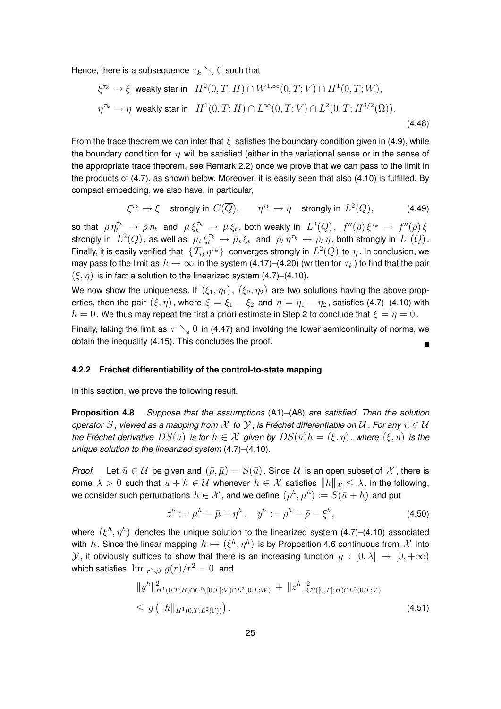Hence, there is a subsequence  $\tau_k \searrow 0$  such that

$$
\xi^{\tau_k} \to \xi \text{ weakly star in } H^2(0, T; H) \cap W^{1, \infty}(0, T; V) \cap H^1(0, T; W),
$$
  

$$
\eta^{\tau_k} \to \eta \text{ weakly star in } H^1(0, T; H) \cap L^{\infty}(0, T; V) \cap L^2(0, T; H^{3/2}(\Omega)).
$$
\n(4.48)

From the trace theorem we can infer that  $\xi$  satisfies the boundary condition given in (4.9), while the boundary condition for  $n$  will be satisfied (either in the variational sense or in the sense of the appropriate trace theorem, see Remark 2.2) once we prove that we can pass to the limit in the products of (4.7), as shown below. Moreover, it is easily seen that also (4.10) is fulfilled. By compact embedding, we also have, in particular,

$$
\xi^{\tau_k} \to \xi \quad \text{strongly in } C(\overline{Q}), \qquad \eta^{\tau_k} \to \eta \quad \text{strongly in } L^2(Q), \tag{4.49}
$$

so that  $\bar\rho\,\eta_t^{\tau_k}\,\to\,\bar\rho\,\eta_t$  and  $\bar\mu\,\xi_t^{\tau_k}\,\to\,\bar\mu\,\xi_t$ , both weakly in  $\ L^2(Q)$ ,  $\ f''(\bar\rho)\,\xi^{\tau_k}\,\to\,f''(\bar\rho)\,\xi$ strongly in  $\ L^2(Q)$  , as well as  $\ \bar\mu_t\,\xi_t^{\tau_k}\,\to\,\bar\mu_t\,\xi_t\,$  and  $\ \bar\rho_t\,\eta^{\tau_k}\,\to\,\bar\rho_t\,\eta$  , both strongly in  $\ L^1(Q)$  . Finally, it is easily verified that  $\,\{\mathcal T_{\tau_k}\eta^{\tau_k}\}\,$  converges strongly in  $\,L^2(Q)\,$  to  $\,\eta$  . In conclusion, we may pass to the limit as  $k \to \infty$  in the system (4.17)–(4.20) (written for  $\tau_k$ ) to find that the pair  $(\xi, \eta)$  is in fact a solution to the linearized system (4.7)–(4.10).

We now show the uniqueness. If  $(\xi_1, \eta_1)$ ,  $(\xi_2, \eta_2)$  are two solutions having the above properties, then the pair  $(\xi, \eta)$ , where  $\xi = \xi_1 - \xi_2$  and  $\eta = \eta_1 - \eta_2$ , satisfies (4.7)–(4.10) with  $h = 0$ . We thus may repeat the first a priori estimate in Step 2 to conclude that  $\xi = \eta = 0$ .

Finally, taking the limit as  $\tau \searrow 0$  in (4.47) and invoking the lower semicontinuity of norms, we obtain the inequality (4.15). This concludes the proof.

#### **4.2.2 Fréchet differentiability of the control-to-state mapping**

In this section, we prove the following result.

**Proposition 4.8** *Suppose that the assumptions* (A1)–(A8) *are satisfied. Then the solution operator* S, viewed as a mapping from  $\mathcal X$  to  $\mathcal Y$ , is Fréchet differentiable on  $\mathcal U$ . For any  $\bar u\in\mathcal U$ *the Fréchet derivative*  $DS(\bar{u})$  *is for*  $h \in \mathcal{X}$  *given by*  $DS(\bar{u})h = (\xi, \eta)$ , where  $(\xi, \eta)$  *is the unique solution to the linearized system* (4.7)–(4.10).

*Proof.* Let  $\bar{u} \in \mathcal{U}$  be given and  $(\bar{\rho}, \bar{\mu}) = S(\bar{u})$ . Since  $\mathcal{U}$  is an open subset of  $\mathcal{X}$ , there is some  $\lambda > 0$  such that  $\bar{u} + h \in \mathcal{U}$  whenever  $h \in \mathcal{X}$  satisfies  $||h||_{\mathcal{X}} \leq \lambda$ . In the following, we consider such perturbations  $h\in\mathcal{X}$  , and we define  $(\rho^h,\mu^h):=S(\bar{u}+h)$  and put

$$
z^{h} := \mu^{h} - \bar{\mu} - \eta^{h}, \quad y^{h} := \rho^{h} - \bar{\rho} - \xi^{h}, \tag{4.50}
$$

where  $(\xi^h, \eta^h)$  denotes the unique solution to the linearized system (4.7)–(4.10) associated with  $h$  . Since the linear mapping  $h \mapsto (\xi^h, \eta^h)$  is by Proposition 4.6 continuous from  $\mathcal X$  into  $\mathcal Y$ , it obviously suffices to show that there is an increasing function  $g:[0,\lambda]\to [0,+\infty)$ which satisfies  $\lim_{r\to 0} g(r)/r^2 = 0$  and

$$
||y^{h}||_{H^{1}(0,T;H)\cap C^{0}([0,T];V)\cap L^{2}(0,T;W)}^{2} + ||z^{h}||_{C^{0}([0,T];H)\cap L^{2}(0,T;V)}^{2}
$$
\n
$$
\leq g\left(||h||_{H^{1}(0,T;L^{2}(\Gamma))}\right).
$$
\n(4.51)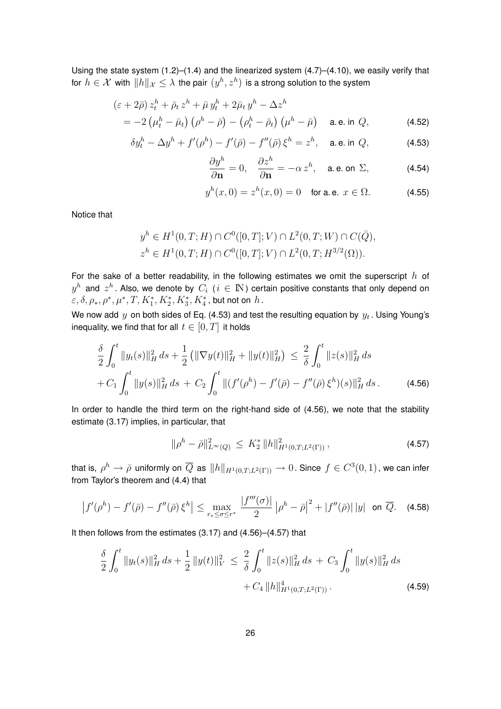Using the state system (1.2)–(1.4) and the linearized system (4.7)–(4.10), we easily verify that for  $h\in\mathcal{X}$  with  $\|h\|_{\mathcal{X}}\leq\lambda$  the pair  $(y^h,z^h)$  is a strong solution to the system

$$
(\varepsilon + 2\bar{\rho}) z_t^h + \bar{\rho}_t z^h + \bar{\mu} y_t^h + 2\bar{\mu}_t y^h - \Delta z^h
$$
  
=  $-2 \left(\mu_t^h - \bar{\mu}_t\right) \left(\rho^h - \bar{\rho}\right) - \left(\rho_t^h - \bar{\rho}_t\right) \left(\mu^h - \bar{\mu}\right)$  a.e. in  $Q$ , (4.52)

$$
\delta y_t^h - \Delta y^h + f'(\rho^h) - f'(\bar{\rho}) - f''(\bar{\rho}) \xi^h = z^h, \quad \text{a.e. in } Q,\tag{4.53}
$$

$$
\frac{\partial y^h}{\partial \mathbf{n}} = 0, \quad \frac{\partial z^h}{\partial \mathbf{n}} = -\alpha z^h, \quad \text{a.e. on } \Sigma,
$$
 (4.54)

$$
y^{h}(x,0) = z^{h}(x,0) = 0 \text{ for a.e. } x \in \Omega.
$$
 (4.55)

Notice that

$$
y^h \in H^1(0, T; H) \cap C^0([0, T]; V) \cap L^2(0, T; W) \cap C(\bar{Q}),
$$
  

$$
z^h \in H^1(0, T; H) \cap C^0([0, T]; V) \cap L^2(0, T; H^{3/2}(\Omega)).
$$

For the sake of a better readability, in the following estimates we omit the superscript  $h$  of  $y^h$  and  $z^h$  . Also, we denote by  $\,C_i \,$  (  $i \, \in \, \mathbb{N}$  ) certain positive constants that only depend on  $\varepsilon, \delta, \rho_*, \rho^*, \mu^*, T, K_1^*, K_2^*, K_3^*, K_4^*$ , but not on  $h$ .

We now add  $y$  on both sides of Eq. (4.53) and test the resulting equation by  $y_t$  . Using Young's inequality, we find that for all  $t \in [0, T]$  it holds

$$
\frac{\delta}{2} \int_0^t \|y_t(s)\|_H^2 ds + \frac{1}{2} \left( \|\nabla y(t)\|_H^2 + \|y(t)\|_H^2 \right) \le \frac{2}{\delta} \int_0^t \|z(s)\|_H^2 ds
$$
\n
$$
+ C_1 \int_0^t \|y(s)\|_H^2 ds + C_2 \int_0^t \|(f'(\rho^h) - f'(\bar{\rho}) - f''(\bar{\rho})\xi^h)(s)\|_H^2 ds. \tag{4.56}
$$

In order to handle the third term on the right-hand side of (4.56), we note that the stability estimate (3.17) implies, in particular, that

$$
\|\rho^h - \bar{\rho}\|_{L^{\infty}(Q)}^2 \le K_2^* \|h\|_{H^1(0,T;L^2(\Gamma))}^2,
$$
\n(4.57)

that is,  $\rho^h\to\bar\rho$  uniformly on  $\overline Q$  as  $\|h\|_{H^1(0,T;L^2(\Gamma))}\to 0.$  Since  $f\in C^3(0,1)$  , we can infer from Taylor's theorem and (4.4) that

$$
\left|f'(\rho^h) - f'(\bar{\rho}) - f''(\bar{\rho})\,\xi^h\right| \le \max_{r_* \le \sigma \le r^*} \frac{|f'''(\sigma)|}{2} \left|\rho^h - \bar{\rho}\right|^2 + \left|f''(\bar{\rho})\right|\left|y\right| \text{ on } \overline{Q}. \tag{4.58}
$$

It then follows from the estimates (3.17) and (4.56)–(4.57) that

$$
\frac{\delta}{2} \int_0^t \|y_t(s)\|_H^2 ds + \frac{1}{2} \|y(t)\|_V^2 \le \frac{2}{\delta} \int_0^t \|z(s)\|_H^2 ds + C_3 \int_0^t \|y(s)\|_H^2 ds + C_4 \|h\|_{H^1(0,T;L^2(\Gamma))}^4.
$$
\n(4.59)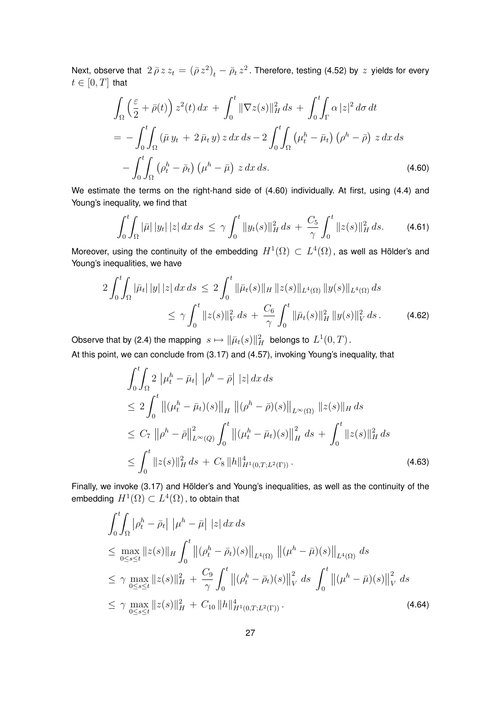Next, observe that  $\ 2\,\bar\rho\,z\,z_t\,=\,(\bar\rho\,z^2)_t-\bar\rho_t\,z^2$  . Therefore, testing (4.52) by  $\,z\,$  yields for every  $t \in [0, T]$  that

$$
\int_{\Omega} \left(\frac{\varepsilon}{2} + \bar{\rho}(t)\right) z^2(t) \, dx + \int_0^t \|\nabla z(s)\|_H^2 \, ds + \int_0^t \int_{\Gamma} \alpha |z|^2 \, d\sigma \, dt
$$
\n
$$
= -\int_0^t \int_{\Omega} \left(\bar{\mu} y_t + 2 \, \bar{\mu}_t y\right) z \, dx \, ds - 2 \int_0^t \int_{\Omega} \left(\mu_t^h - \bar{\mu}_t\right) \left(\rho^h - \bar{\rho}\right) z \, dx \, ds
$$
\n
$$
- \int_0^t \int_{\Omega} \left(\rho_t^h - \bar{\rho}_t\right) \left(\mu^h - \bar{\mu}\right) z \, dx \, ds. \tag{4.60}
$$

We estimate the terms on the right-hand side of (4.60) individually. At first, using (4.4) and Young's inequality, we find that

$$
\int_0^t \int_{\Omega} |\bar{\mu}| |y_t| |z| dx ds \leq \gamma \int_0^t \|y_t(s)\|_H^2 ds + \frac{C_5}{\gamma} \int_0^t \|z(s)\|_H^2 ds. \tag{4.61}
$$

Moreover, using the continuity of the embedding  $H^1(\Omega) \subset L^4(\Omega)$  , as well as Hölder's and Young's inequalities, we have

$$
2\int_0^t \int_{\Omega} |\bar{\mu}_t| |y| |z| dx ds \le 2\int_0^t \|\bar{\mu}_t(s)\|_{H} \|z(s)\|_{L^4(\Omega)} \|y(s)\|_{L^4(\Omega)} ds
$$
  

$$
\le \gamma \int_0^t \|z(s)\|_{V}^2 ds + \frac{C_6}{\gamma} \int_0^t \|\bar{\mu}_t(s)\|_{H}^2 \|y(s)\|_{V}^2 ds.
$$
 (4.62)

Observe that by (2.4) the mapping  $\,s\mapsto \| \bar\mu_t(s) \|_H^2\,$  belongs to  $\,L^1(0,T)$  .

At this point, we can conclude from (3.17) and (4.57), invoking Young's inequality, that

$$
\int_{0}^{t} \int_{\Omega} 2 \left| \mu_{t}^{h} - \bar{\mu}_{t} \right| \left| \rho^{h} - \bar{\rho} \right| \left| z \right| dx ds
$$
\n
$$
\leq 2 \int_{0}^{t} \left\| (\mu_{t}^{h} - \bar{\mu}_{t})(s) \right\|_{H} \left\| (\rho^{h} - \bar{\rho})(s) \right\|_{L^{\infty}(\Omega)} \left\| z(s) \right\|_{H} ds
$$
\n
$$
\leq C_{7} \left\| \rho^{h} - \bar{\rho} \right\|_{L^{\infty}(Q)}^{2} \int_{0}^{t} \left\| (\mu_{t}^{h} - \bar{\mu}_{t})(s) \right\|_{H}^{2} ds + \int_{0}^{t} \left\| z(s) \right\|_{H}^{2} ds
$$
\n
$$
\leq \int_{0}^{t} \left\| z(s) \right\|_{H}^{2} ds + C_{8} \left\| h \right\|_{H^{1}(0,T;L^{2}(\Gamma))}^{4} .
$$
\n(4.63)

Finally, we invoke (3.17) and Hölder's and Young's inequalities, as well as the continuity of the embedding  $H^1(\Omega) \subset L^4(\Omega)$  , to obtain that

$$
\int_{0}^{t} \int_{\Omega} |\rho_{t}^{h} - \bar{\rho}_{t}| |\mu^{h} - \bar{\mu}| |z| dx ds
$$
\n
$$
\leq \max_{0 \leq s \leq t} \|z(s)\|_{H} \int_{0}^{t} \|(\rho_{t}^{h} - \bar{\rho}_{t})(s)\|_{L^{4}(\Omega)} ||(\mu^{h} - \bar{\mu})(s)\|_{L^{4}(\Omega)} ds
$$
\n
$$
\leq \gamma \max_{0 \leq s \leq t} \|z(s)\|_{H}^{2} + \frac{C_{9}}{\gamma} \int_{0}^{t} \|(\rho_{t}^{h} - \bar{\rho}_{t})(s)\|_{V}^{2} ds \int_{0}^{t} \|(\mu^{h} - \bar{\mu})(s)\|_{V}^{2} ds
$$
\n
$$
\leq \gamma \max_{0 \leq s \leq t} \|z(s)\|_{H}^{2} + C_{10} \|h\|_{H^{1}(0,T;L^{2}(\Gamma))}^{4}.
$$
\n(4.64)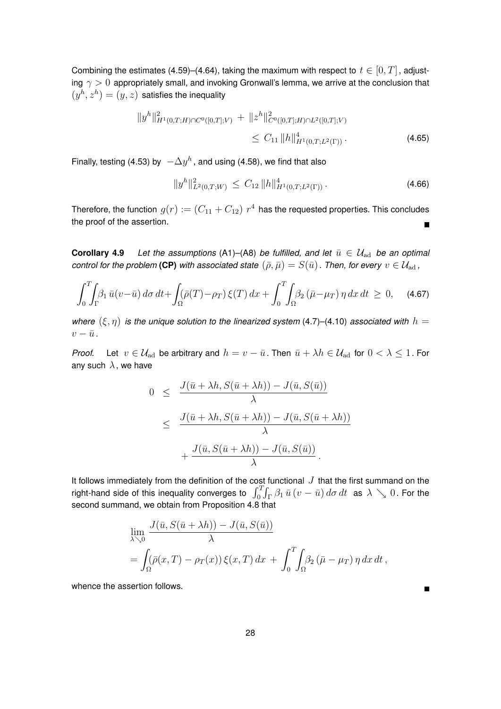Combining the estimates (4.59)–(4.64), taking the maximum with respect to  $t \in [0, T]$ , adjusting  $\gamma > 0$  appropriately small, and invoking Gronwall's lemma, we arrive at the conclusion that  $(y<sup>h</sup>, z<sup>h</sup>) = (y, z)$  satisfies the inequality

$$
||y^{h}||_{H^{1}(0,T;H)\cap C^{0}([0,T];V)}^{2} + ||z^{h}||_{C^{0}([0,T];H)\cap L^{2}([0,T];V)}^{2} \leq C_{11} ||h||_{H^{1}(0,T;L^{2}(\Gamma))}^{4}.
$$
\n(4.65)

Finally, testing (4.53) by  $\; -\Delta y^h$  , and using (4.58), we find that also

$$
||y^h||_{L^2(0,T;W)}^2 \leq C_{12} ||h||_{H^1(0,T;L^2(\Gamma))}^4.
$$
\n(4.66)

Therefore, the function  $\,g(r):=(C_{11}+C_{12})\,\,r^4\,$  has the requested properties. This concludes the proof of the assertion.  $\blacksquare$ 

**Corollary 4.9** *Let the assumptions* (A1)–(A8) *be fulfilled, and let*  $\bar{u} \in \mathcal{U}_{ad}$  *be an optimal control for the problem* (CP) *with associated state*  $(\bar{\rho}, \bar{\mu}) = S(\bar{u})$ . Then, for every  $v \in \mathcal{U}_{ad}$ ,

$$
\int_0^T \int_{\Gamma} \beta_1 \, \bar{u}(v - \bar{u}) \, d\sigma \, dt + \int_{\Omega} (\bar{\rho}(T) - \rho_T) \, \xi(T) \, dx + \int_0^T \int_{\Omega} \beta_2 \left( \bar{\mu} - \mu_T \right) \eta \, dx \, dt \ge 0, \quad (4.67)
$$

*where*  $(\xi, \eta)$  *is the unique solution to the linearized system* (4.7)–(4.10) *associated with*  $h =$  $v - \bar{u}$ .

*Proof.* Let  $v \in \mathcal{U}_{ad}$  be arbitrary and  $h = v - \bar{u}$ . Then  $\bar{u} + \lambda h \in \mathcal{U}_{ad}$  for  $0 < \lambda \leq 1$ . For any such  $\lambda$ , we have

$$
0 \leq \frac{J(\bar{u} + \lambda h, S(\bar{u} + \lambda h)) - J(\bar{u}, S(\bar{u}))}{\lambda}
$$
  

$$
\leq \frac{J(\bar{u} + \lambda h, S(\bar{u} + \lambda h)) - J(\bar{u}, S(\bar{u} + \lambda h))}{\lambda}
$$
  

$$
+ \frac{J(\bar{u}, S(\bar{u} + \lambda h)) - J(\bar{u}, S(\bar{u}))}{\lambda}.
$$

It follows immediately from the definition of the cost functional  $J$  that the first summand on the right-hand side of this inequality converges to  $\ \int_0^T\!\!\int_\Gamma \beta_1\,\bar u\,(v-\bar u)\,d\sigma\,dt\ \text{ as }\lambda\searrow 0\,.$  For the second summand, we obtain from Proposition 4.8 that

$$
\lim_{\lambda \searrow 0} \frac{J(\bar{u}, S(\bar{u} + \lambda h)) - J(\bar{u}, S(\bar{u}))}{\lambda}
$$
\n
$$
= \int_{\Omega} (\bar{\rho}(x, T) - \rho_T(x)) \xi(x, T) dx + \int_0^T \int_{\Omega} \beta_2 (\bar{\mu} - \mu_T) \eta dx dt,
$$

whence the assertion follows.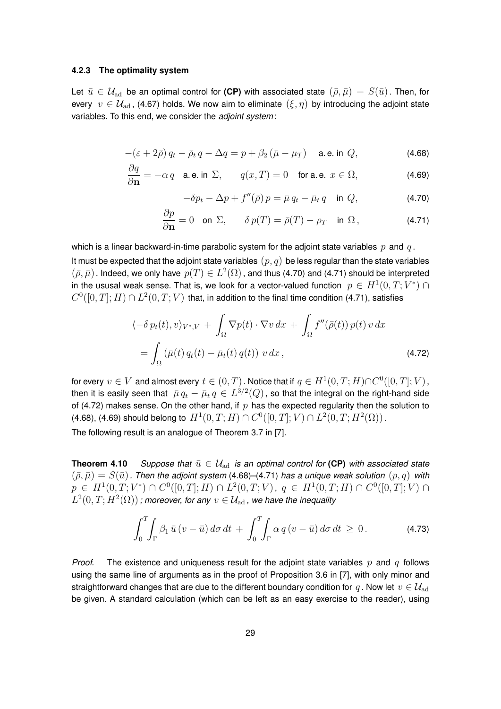#### **4.2.3 The optimality system**

Let  $\bar{u} \in \mathcal{U}_{ad}$  be an optimal control for (CP) with associated state  $(\bar{\rho}, \bar{\mu}) = S(\bar{u})$ . Then, for every  $v \in \mathcal{U}_{ad}$ , (4.67) holds. We now aim to eliminate  $(\xi, \eta)$  by introducing the adjoint state variables. To this end, we consider the *adjoint system* :

$$
-(\varepsilon + 2\bar{\rho})q_t - \bar{\rho}_t q - \Delta q = p + \beta_2 (\bar{\mu} - \mu_T) \quad \text{a.e. in } Q,
$$
\n(4.68)

$$
\frac{\partial q}{\partial \mathbf{n}} = -\alpha q \quad \text{a.e. in } \Sigma, \qquad q(x, T) = 0 \quad \text{for a.e. } x \in \Omega,
$$
 (4.69)

$$
-\delta p_t - \Delta p + f''(\bar{\rho}) p = \bar{\mu} q_t - \bar{\mu}_t q \quad \text{in } Q,\tag{4.70}
$$

$$
\frac{\partial p}{\partial \mathbf{n}} = 0 \quad \text{on } \Sigma, \qquad \delta p(T) = \bar{p}(T) - \rho_T \quad \text{in } \Omega \,, \tag{4.71}
$$

which is a linear backward-in-time parabolic system for the adjoint state variables  $p$  and  $q$ .

It must be expected that the adjoint state variables  $(p, q)$  be less regular than the state variables  $(\bar\rho,\bar\mu)$  . Indeed, we only have  $p(T)\in L^2(\Omega)$  , and thus (4.70) and (4.71) should be interpreted in the ususal weak sense. That is, we look for a vector-valued function  $\;p\,\in\, H^1(0,T;V^*)\cap$  $C^0([0,T];H)\cap L^2(0,T;V)$  that, in addition to the final time condition (4.71), satisfies

$$
\langle -\delta p_t(t), v \rangle_{V^*, V} + \int_{\Omega} \nabla p(t) \cdot \nabla v \, dx + \int_{\Omega} f''(\bar{\rho}(t)) p(t) v \, dx
$$

$$
= \int_{\Omega} (\bar{\mu}(t) q_t(t) - \bar{\mu}_t(t) q(t)) v \, dx, \tag{4.72}
$$

for every  $v\in V$  and almost every  $t\in (0,T)$  . Notice that if  $q\in H^1(0,T;H)\cap C^0([0,T];V)$  , then it is easily seen that  $\ \bar\mu \, q_t - \bar\mu_t \, q \in L^{3/2}(Q)$  , so that the integral on the right-hand side of (4.72) makes sense. On the other hand, if  $p$  has the expected regularity then the solution to (4.68), (4.69) should belong to  $H^1(0,T;H)\cap C^0([0,T];V)\cap L^2(0,T;H^2(\Omega))$  .

The following result is an analogue of Theorem 3.7 in [7].

**Theorem 4.10** *Suppose that*  $\bar{u} \in \mathcal{U}_{ad}$  *is an optimal control for* (CP) *with associated state*  $(\bar{\rho}, \bar{\mu}) = S(\bar{u})$ . Then the adjoint system (4.68)–(4.71) has a unique weak solution  $(p, q)$  with  $p \in H^1(0,T;V^*) \cap C^0([0,T];H) \cap L^2(0,T;V), q \in H^1(0,T;H) \cap C^0([0,T];V) \cap$  $L^2(0,T;H^2(\Omega))$  ; moreover, for any  $v\in \mathcal{U}_\mathrm{ad}$  , we have the inequality

$$
\int_0^T \int_{\Gamma} \beta_1 \, \bar{u} \, (v - \bar{u}) \, d\sigma \, dt + \int_0^T \int_{\Gamma} \alpha \, q \, (v - \bar{u}) \, d\sigma \, dt \ge 0. \tag{4.73}
$$

*Proof.* The existence and uniqueness result for the adjoint state variables  $p$  and  $q$  follows using the same line of arguments as in the proof of Proposition 3.6 in [7], with only minor and straightforward changes that are due to the different boundary condition for q. Now let  $v \in \mathcal{U}_{ad}$ be given. A standard calculation (which can be left as an easy exercise to the reader), using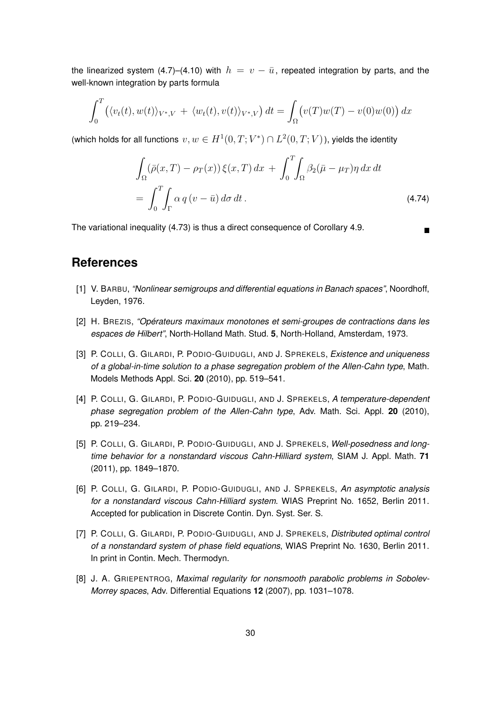the linearized system (4.7)–(4.10) with  $h = v - \bar{u}$ , repeated integration by parts, and the well-known integration by parts formula

$$
\int_0^T \left( \langle v_t(t), w(t) \rangle_{V^*,V} + \langle w_t(t), v(t) \rangle_{V^*,V} \right) dt = \int_{\Omega} \left( v(T)w(T) - v(0)w(0) \right) dx
$$

(which holds for all functions  $v, w \in H^1(0,T;V^*) \cap L^2(0,T;V)$ ), yields the identity

$$
\int_{\Omega} (\bar{\rho}(x,T) - \rho_T(x)) \xi(x,T) dx + \int_0^T \int_{\Omega} \beta_2(\bar{\mu} - \mu_T) \eta dx dt
$$

$$
= \int_0^T \int_{\Gamma} \alpha q (v - \bar{u}) d\sigma dt.
$$
 (4.74)

The variational inequality (4.73) is thus a direct consequence of Corollary 4.9.

### **References**

- [1] V. BARBU, *"Nonlinear semigroups and differential equations in Banach spaces"*, Noordhoff, Leyden, 1976.
- [2] H. BREZIS, *"Opérateurs maximaux monotones et semi-groupes de contractions dans les espaces de Hilbert"*, North-Holland Math. Stud. **5**, North-Holland, Amsterdam, 1973.
- [3] P. COLLI, G. GILARDI, P. PODIO-GUIDUGLI, AND J. SPREKELS, *Existence and uniqueness of a global-in-time solution to a phase segregation problem of the Allen-Cahn type*, Math. Models Methods Appl. Sci. **20** (2010), pp. 519–541.
- [4] P. COLLI, G. GILARDI, P. PODIO-GUIDUGLI, AND J. SPREKELS, *A temperature-dependent phase segregation problem of the Allen-Cahn type*, Adv. Math. Sci. Appl. **20** (2010), pp. 219–234.
- [5] P. COLLI, G. GILARDI, P. PODIO-GUIDUGLI, AND J. SPREKELS, *Well-posedness and longtime behavior for a nonstandard viscous Cahn-Hilliard system*, SIAM J. Appl. Math. **71** (2011), pp. 1849–1870.
- [6] P. COLLI, G. GILARDI, P. PODIO-GUIDUGLI, AND J. SPREKELS, *An asymptotic analysis for a nonstandard viscous Cahn-Hilliard system*. WIAS Preprint No. 1652, Berlin 2011. Accepted for publication in Discrete Contin. Dyn. Syst. Ser. S.
- [7] P. COLLI, G. GILARDI, P. PODIO-GUIDUGLI, AND J. SPREKELS, *Distributed optimal control of a nonstandard system of phase field equations*, WIAS Preprint No. 1630, Berlin 2011. In print in Contin. Mech. Thermodyn.
- [8] J. A. GRIEPENTROG, *Maximal regularity for nonsmooth parabolic problems in Sobolev-Morrey spaces*, Adv. Differential Equations **12** (2007), pp. 1031–1078.